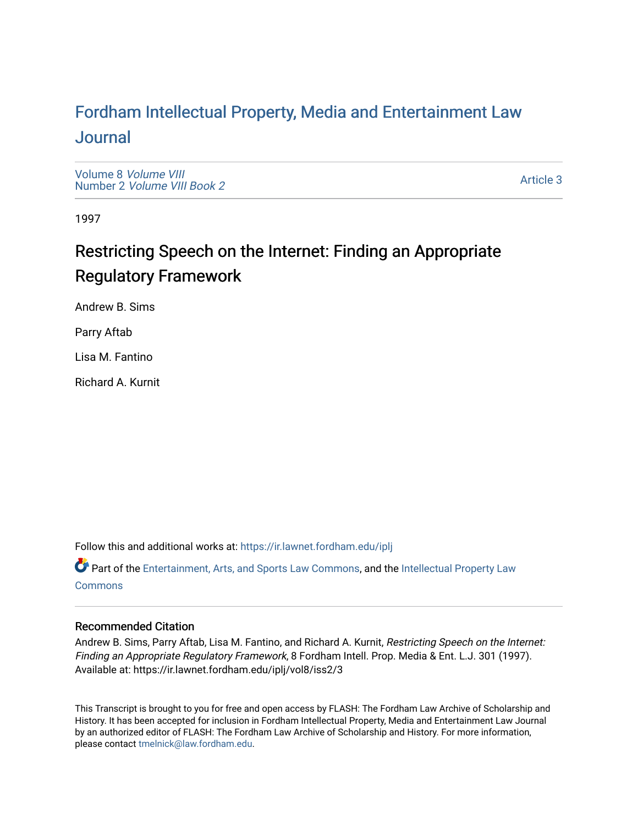# For[dham Intellectual Property, Media and Enter](https://ir.lawnet.fordham.edu/iplj)tainment Law [Journal](https://ir.lawnet.fordham.edu/iplj)

[Volume 8](https://ir.lawnet.fordham.edu/iplj/vol8) Volume VIII Number 2 [Volume VIII Book 2](https://ir.lawnet.fordham.edu/iplj/vol8/iss2)

[Article 3](https://ir.lawnet.fordham.edu/iplj/vol8/iss2/3) 

1997

# Restricting Speech on the Internet: Finding an Appropriate Regulatory Framework

Andrew B. Sims

Parry Aftab

Lisa M. Fantino

Richard A. Kurnit

Follow this and additional works at: [https://ir.lawnet.fordham.edu/iplj](https://ir.lawnet.fordham.edu/iplj?utm_source=ir.lawnet.fordham.edu%2Fiplj%2Fvol8%2Fiss2%2F3&utm_medium=PDF&utm_campaign=PDFCoverPages) 

Part of the [Entertainment, Arts, and Sports Law Commons](http://network.bepress.com/hgg/discipline/893?utm_source=ir.lawnet.fordham.edu%2Fiplj%2Fvol8%2Fiss2%2F3&utm_medium=PDF&utm_campaign=PDFCoverPages), and the [Intellectual Property Law](http://network.bepress.com/hgg/discipline/896?utm_source=ir.lawnet.fordham.edu%2Fiplj%2Fvol8%2Fiss2%2F3&utm_medium=PDF&utm_campaign=PDFCoverPages) **[Commons](http://network.bepress.com/hgg/discipline/896?utm_source=ir.lawnet.fordham.edu%2Fiplj%2Fvol8%2Fiss2%2F3&utm_medium=PDF&utm_campaign=PDFCoverPages)** 

# Recommended Citation

Andrew B. Sims, Parry Aftab, Lisa M. Fantino, and Richard A. Kurnit, Restricting Speech on the Internet: Finding an Appropriate Regulatory Framework, 8 Fordham Intell. Prop. Media & Ent. L.J. 301 (1997). Available at: https://ir.lawnet.fordham.edu/iplj/vol8/iss2/3

This Transcript is brought to you for free and open access by FLASH: The Fordham Law Archive of Scholarship and History. It has been accepted for inclusion in Fordham Intellectual Property, Media and Entertainment Law Journal by an authorized editor of FLASH: The Fordham Law Archive of Scholarship and History. For more information, please contact [tmelnick@law.fordham.edu](mailto:tmelnick@law.fordham.edu).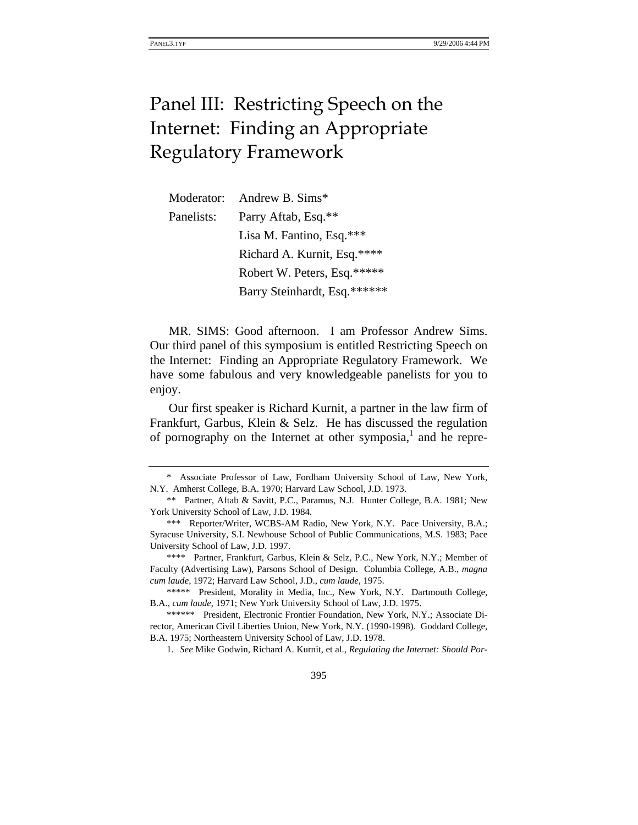# Panel III: Restricting Speech on the Internet: Finding an Appropriate Regulatory Framework

| Moderator: | Andrew B. Sims*              |
|------------|------------------------------|
| Panelists: | Parry Aftab, Esq.**          |
|            | Lisa M. Fantino, Esq.***     |
|            | Richard A. Kurnit, Esq.****  |
|            | Robert W. Peters, Esq.*****  |
|            | Barry Steinhardt, Esq.****** |

MR. SIMS: Good afternoon. I am Professor Andrew Sims. Our third panel of this symposium is entitled Restricting Speech on the Internet: Finding an Appropriate Regulatory Framework. We have some fabulous and very knowledgeable panelists for you to enjoy.

Our first speaker is Richard Kurnit, a partner in the law firm of Frankfurt, Garbus, Klein & Selz. He has discussed the regulation of pornography on the Internet at other symposia, $<sup>1</sup>$  and he repre-</sup>

<sup>\*</sup> Associate Professor of Law, Fordham University School of Law, New York, N.Y. Amherst College, B.A. 1970; Harvard Law School, J.D. 1973.

<sup>\*\*</sup> Partner, Aftab & Savitt, P.C., Paramus, N.J. Hunter College, B.A. 1981; New York University School of Law, J.D. 1984.

<sup>\*\*\*</sup> Reporter/Writer, WCBS-AM Radio, New York, N.Y. Pace University, B.A.; Syracuse University, S.I. Newhouse School of Public Communications, M.S. 1983; Pace University School of Law, J.D. 1997.

<sup>\*\*\*\*</sup> Partner, Frankfurt, Garbus, Klein & Selz, P.C., New York, N.Y.; Member of Faculty (Advertising Law), Parsons School of Design. Columbia College, A.B., *magna cum laude*, 1972; Harvard Law School, J.D., *cum laude*, 1975.

<sup>\*\*\*\*\*</sup> President, Morality in Media, Inc., New York, N.Y. Dartmouth College, B.A., *cum laude*, 1971; New York University School of Law, J.D. 1975.

<sup>\*\*\*\*\*\*</sup> President, Electronic Frontier Foundation, New York, N.Y.; Associate Director, American Civil Liberties Union, New York, N.Y. (1990-1998). Goddard College, B.A. 1975; Northeastern University School of Law, J.D. 1978.

<sup>1</sup>*. See* Mike Godwin, Richard A. Kurnit, et al., *Regulating the Internet: Should Por-*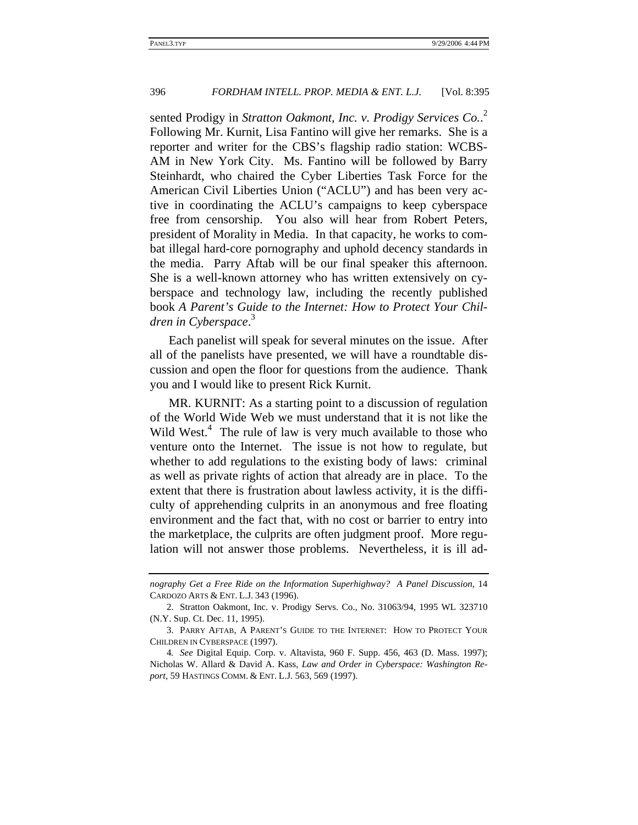sented Prodigy in *Stratton Oakmont, Inc. v. Prodigy Services Co.*. 2 Following Mr. Kurnit, Lisa Fantino will give her remarks. She is a reporter and writer for the CBS's flagship radio station: WCBS-AM in New York City. Ms. Fantino will be followed by Barry Steinhardt, who chaired the Cyber Liberties Task Force for the American Civil Liberties Union ("ACLU") and has been very active in coordinating the ACLU's campaigns to keep cyberspace free from censorship. You also will hear from Robert Peters, president of Morality in Media. In that capacity, he works to combat illegal hard-core pornography and uphold decency standards in the media. Parry Aftab will be our final speaker this afternoon. She is a well-known attorney who has written extensively on cyberspace and technology law, including the recently published book *A Parent's Guide to the Internet: How to Protect Your Children in Cyberspace*. 3

Each panelist will speak for several minutes on the issue. After all of the panelists have presented, we will have a roundtable discussion and open the floor for questions from the audience. Thank you and I would like to present Rick Kurnit.

MR. KURNIT: As a starting point to a discussion of regulation of the World Wide Web we must understand that it is not like the Wild West. $4$  The rule of law is very much available to those who venture onto the Internet. The issue is not how to regulate, but whether to add regulations to the existing body of laws: criminal as well as private rights of action that already are in place. To the extent that there is frustration about lawless activity, it is the difficulty of apprehending culprits in an anonymous and free floating environment and the fact that, with no cost or barrier to entry into the marketplace, the culprits are often judgment proof. More regulation will not answer those problems. Nevertheless, it is ill ad-

*nography Get a Free Ride on the Information Superhighway? A Panel Discussion*, 14 CARDOZO ARTS & ENT. L.J. 343 (1996).

<sup>2.</sup> Stratton Oakmont, Inc. v. Prodigy Servs. Co., No. 31063/94, 1995 WL 323710 (N.Y. Sup. Ct. Dec. 11, 1995).

<sup>3.</sup> PARRY AFTAB, A PARENT'S GUIDE TO THE INTERNET: HOW TO PROTECT YOUR CHILDREN IN CYBERSPACE (1997).

<sup>4</sup>*. See* Digital Equip. Corp. v. Altavista, 960 F. Supp. 456, 463 (D. Mass. 1997); Nicholas W. Allard & David A. Kass, *Law and Order in Cyberspace: Washington Report*, 59 HASTINGS COMM. & ENT. L.J. 563, 569 (1997).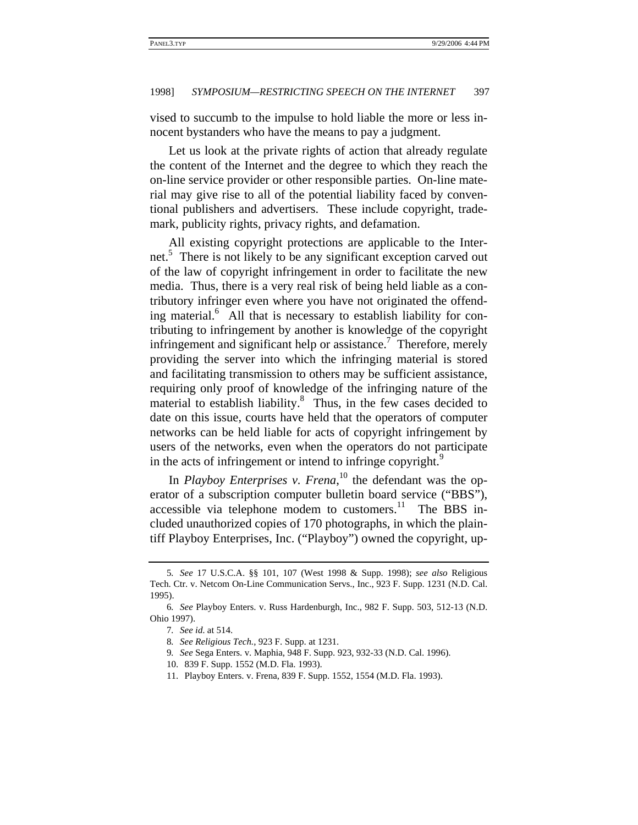vised to succumb to the impulse to hold liable the more or less innocent bystanders who have the means to pay a judgment.

Let us look at the private rights of action that already regulate the content of the Internet and the degree to which they reach the on-line service provider or other responsible parties. On-line material may give rise to all of the potential liability faced by conventional publishers and advertisers. These include copyright, trademark, publicity rights, privacy rights, and defamation.

All existing copyright protections are applicable to the Internet.5 There is not likely to be any significant exception carved out of the law of copyright infringement in order to facilitate the new media. Thus, there is a very real risk of being held liable as a contributory infringer even where you have not originated the offending material.<sup>6</sup> All that is necessary to establish liability for contributing to infringement by another is knowledge of the copyright infringement and significant help or assistance.<sup>7</sup> Therefore, merely providing the server into which the infringing material is stored and facilitating transmission to others may be sufficient assistance, requiring only proof of knowledge of the infringing nature of the material to establish liability.<sup>8</sup> Thus, in the few cases decided to date on this issue, courts have held that the operators of computer networks can be held liable for acts of copyright infringement by users of the networks, even when the operators do not participate in the acts of infringement or intend to infringe copyright.<sup>9</sup>

In *Playboy Enterprises v. Frena*, 10 the defendant was the operator of a subscription computer bulletin board service ("BBS"), accessible via telephone modem to customers.<sup>11</sup> The BBS included unauthorized copies of 170 photographs, in which the plaintiff Playboy Enterprises, Inc. ("Playboy") owned the copyright, up-

<sup>5</sup>*. See* 17 U.S.C.A. §§ 101, 107 (West 1998 & Supp. 1998); *see also* Religious Tech. Ctr. v. Netcom On-Line Communication Servs., Inc., 923 F. Supp. 1231 (N.D. Cal. 1995).

<sup>6</sup>*. See* Playboy Enters. v. Russ Hardenburgh, Inc., 982 F. Supp. 503, 512-13 (N.D. Ohio 1997).

<sup>7</sup>*. See id*. at 514.

<sup>8</sup>*. See Religious Tech.*, 923 F. Supp. at 1231.

<sup>9</sup>*. See* Sega Enters. v. Maphia, 948 F. Supp. 923, 932-33 (N.D. Cal. 1996).

<sup>10. 839</sup> F. Supp. 1552 (M.D. Fla. 1993).

<sup>11.</sup> Playboy Enters. v. Frena, 839 F. Supp. 1552, 1554 (M.D. Fla. 1993).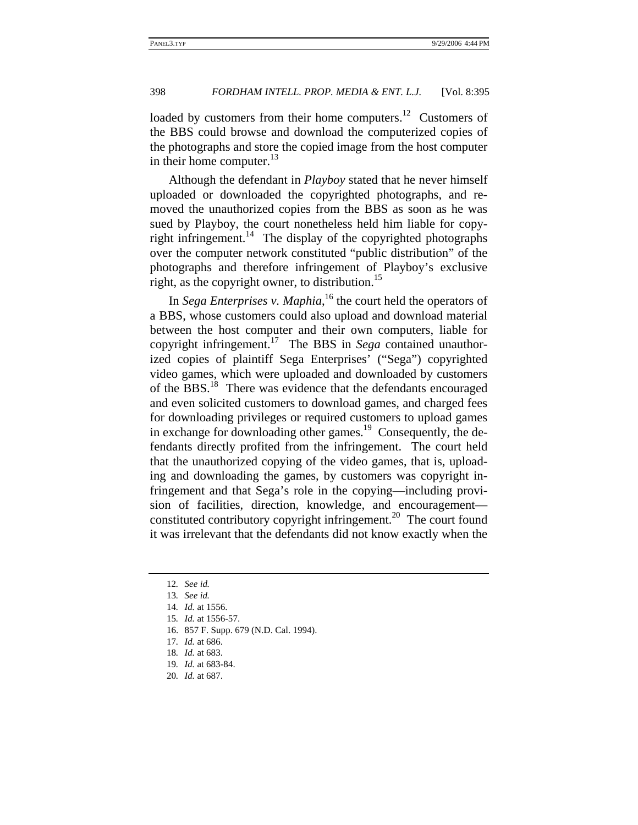loaded by customers from their home computers.<sup>12</sup> Customers of the BBS could browse and download the computerized copies of the photographs and store the copied image from the host computer in their home computer. $13$ 

Although the defendant in *Playboy* stated that he never himself uploaded or downloaded the copyrighted photographs, and removed the unauthorized copies from the BBS as soon as he was sued by Playboy, the court nonetheless held him liable for copyright infringement.<sup>14</sup> The display of the copyrighted photographs over the computer network constituted "public distribution" of the photographs and therefore infringement of Playboy's exclusive right, as the copyright owner, to distribution.<sup>15</sup>

In *Sega Enterprises v. Maphia*,<sup>16</sup> the court held the operators of a BBS, whose customers could also upload and download material between the host computer and their own computers, liable for copyright infringement.17 The BBS in *Sega* contained unauthorized copies of plaintiff Sega Enterprises' ("Sega") copyrighted video games, which were uploaded and downloaded by customers of the BBS.<sup>18</sup> There was evidence that the defendants encouraged and even solicited customers to download games, and charged fees for downloading privileges or required customers to upload games in exchange for downloading other games.<sup>19</sup> Consequently, the defendants directly profited from the infringement. The court held that the unauthorized copying of the video games, that is, uploading and downloading the games, by customers was copyright infringement and that Sega's role in the copying—including provision of facilities, direction, knowledge, and encouragement constituted contributory copyright infringement.<sup>20</sup> The court found it was irrelevant that the defendants did not know exactly when the

<sup>12</sup>*. See id.*

<sup>13</sup>*. See id.*

<sup>14</sup>*. Id.* at 1556.

<sup>15</sup>*. Id.* at 1556-57.

<sup>16. 857</sup> F. Supp. 679 (N.D. Cal. 1994).

<sup>17</sup>*. Id.* at 686.

<sup>18</sup>*. Id.* at 683.

<sup>19</sup>*. Id.* at 683-84.

<sup>20</sup>*. Id.* at 687.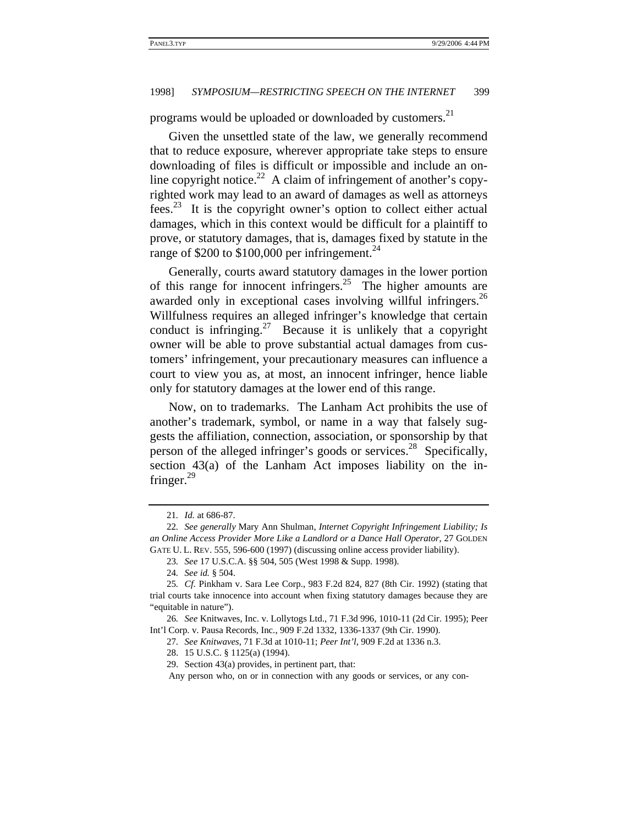programs would be uploaded or downloaded by customers.<sup>21</sup>

Given the unsettled state of the law, we generally recommend that to reduce exposure, wherever appropriate take steps to ensure downloading of files is difficult or impossible and include an online copyright notice.<sup>22</sup> A claim of infringement of another's copyrighted work may lead to an award of damages as well as attorneys fees.<sup>23</sup> It is the copyright owner's option to collect either actual damages, which in this context would be difficult for a plaintiff to prove, or statutory damages, that is, damages fixed by statute in the range of \$200 to \$100,000 per infringement.<sup>24</sup>

Generally, courts award statutory damages in the lower portion of this range for innocent infringers.<sup>25</sup> The higher amounts are awarded only in exceptional cases involving willful infringers.<sup>26</sup> Willfulness requires an alleged infringer's knowledge that certain conduct is infringing. $27$  Because it is unlikely that a copyright owner will be able to prove substantial actual damages from customers' infringement, your precautionary measures can influence a court to view you as, at most, an innocent infringer, hence liable only for statutory damages at the lower end of this range.

Now, on to trademarks. The Lanham Act prohibits the use of another's trademark, symbol, or name in a way that falsely suggests the affiliation, connection, association, or sponsorship by that person of the alleged infringer's goods or services.<sup>28</sup> Specifically, section 43(a) of the Lanham Act imposes liability on the infringer. $^{29}$ 

Any person who, on or in connection with any goods or services, or any con-

<sup>21</sup>*. Id.* at 686-87.

<sup>22</sup>*. See generally* Mary Ann Shulman, *Internet Copyright Infringement Liability; Is an Online Access Provider More Like a Landlord or a Dance Hall Operator*, 27 GOLDEN GATE U. L. REV. 555, 596-600 (1997) (discussing online access provider liability).

<sup>23</sup>*. See* 17 U.S.C.A. §§ 504, 505 (West 1998 & Supp. 1998).

<sup>24</sup>*. See id.* § 504.

<sup>25</sup>*. Cf.* Pinkham v. Sara Lee Corp., 983 F.2d 824, 827 (8th Cir. 1992) (stating that trial courts take innocence into account when fixing statutory damages because they are "equitable in nature").

<sup>26</sup>*. See* Knitwaves, Inc. v. Lollytogs Ltd., 71 F.3d 996, 1010-11 (2d Cir. 1995); Peer Int'l Corp. v. Pausa Records, Inc., 909 F.2d 1332, 1336-1337 (9th Cir. 1990).

<sup>27</sup>*. See Knitwaves*, 71 F.3d at 1010-11; *Peer Int'l*, 909 F.2d at 1336 n.3.

<sup>28. 15</sup> U.S.C. § 1125(a) (1994).

<sup>29.</sup> Section 43(a) provides, in pertinent part, that: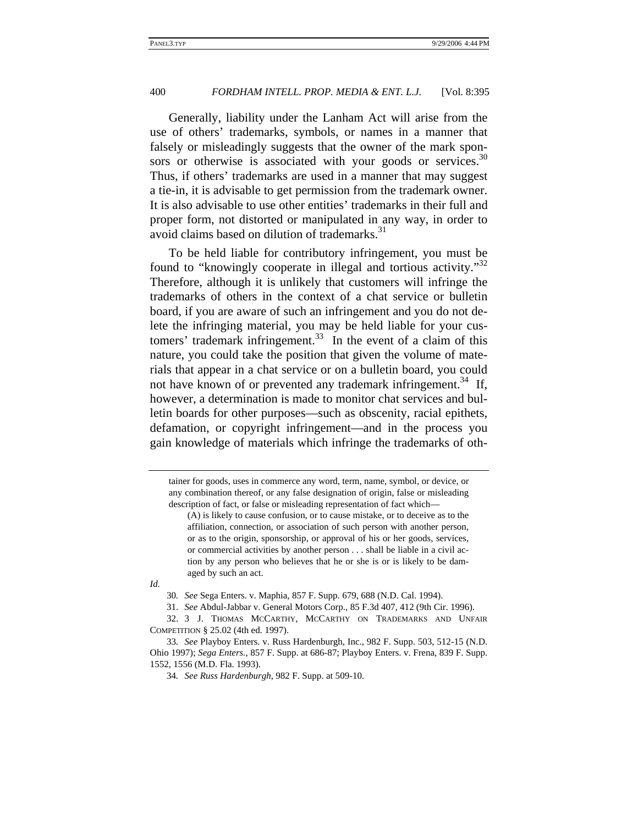Generally, liability under the Lanham Act will arise from the use of others' trademarks, symbols, or names in a manner that falsely or misleadingly suggests that the owner of the mark sponsors or otherwise is associated with your goods or services. $30$ Thus, if others' trademarks are used in a manner that may suggest a tie-in, it is advisable to get permission from the trademark owner. It is also advisable to use other entities' trademarks in their full and proper form, not distorted or manipulated in any way, in order to avoid claims based on dilution of trademarks.<sup>31</sup>

To be held liable for contributory infringement, you must be found to "knowingly cooperate in illegal and tortious activity."<sup>32</sup> Therefore, although it is unlikely that customers will infringe the trademarks of others in the context of a chat service or bulletin board, if you are aware of such an infringement and you do not delete the infringing material, you may be held liable for your customers' trademark infringement. $33$  In the event of a claim of this nature, you could take the position that given the volume of materials that appear in a chat service or on a bulletin board, you could not have known of or prevented any trademark infringement.<sup>34</sup> If, however, a determination is made to monitor chat services and bulletin boards for other purposes—such as obscenity, racial epithets, defamation, or copyright infringement—and in the process you gain knowledge of materials which infringe the trademarks of oth-

*Id.* 

tainer for goods, uses in commerce any word, term, name, symbol, or device, or any combination thereof, or any false designation of origin, false or misleading description of fact, or false or misleading representation of fact which—

<sup>(</sup>A) is likely to cause confusion, or to cause mistake, or to deceive as to the affiliation, connection, or association of such person with another person, or as to the origin, sponsorship, or approval of his or her goods, services, or commercial activities by another person . . . shall be liable in a civil action by any person who believes that he or she is or is likely to be damaged by such an act.

<sup>30</sup>*. See* Sega Enters. v. Maphia, 857 F. Supp. 679, 688 (N.D. Cal. 1994).

<sup>31.</sup> *See* Abdul-Jabbar v. General Motors Corp., 85 F.3d 407, 412 (9th Cir. 1996).

<sup>32. 3</sup> J. THOMAS MCCARTHY, MCCARTHY ON TRADEMARKS AND UNFAIR COMPETITION § 25.02 (4th ed. 1997).

<sup>33</sup>*. See* Playboy Enters. v. Russ Hardenburgh, Inc., 982 F. Supp. 503, 512-15 (N.D. Ohio 1997); *Sega Enters.*, 857 F. Supp. at 686-87; Playboy Enters. v. Frena, 839 F. Supp. 1552, 1556 (M.D. Fla. 1993).

<sup>34</sup>*. See Russ Hardenburgh*, 982 F. Supp. at 509-10.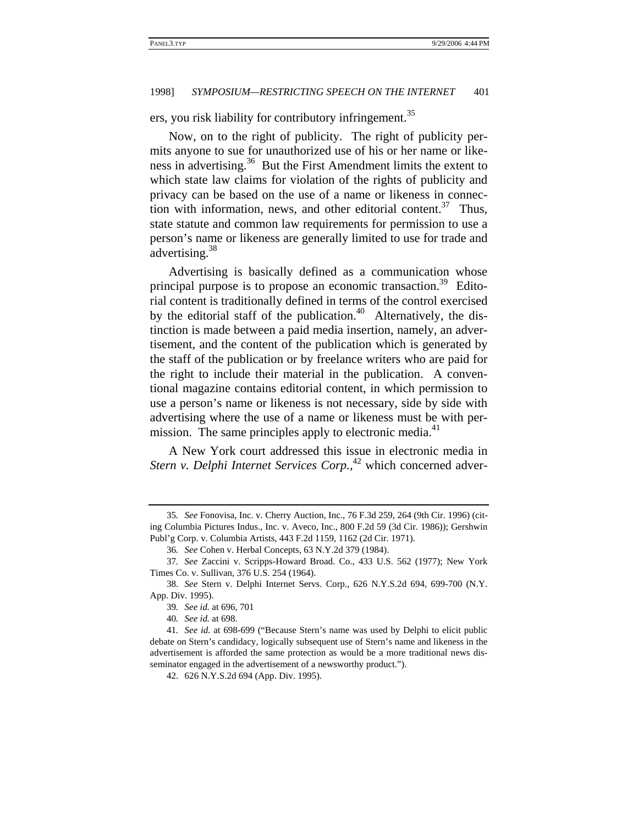ers, you risk liability for contributory infringement.<sup>35</sup>

Now, on to the right of publicity. The right of publicity permits anyone to sue for unauthorized use of his or her name or likeness in advertising.36 But the First Amendment limits the extent to which state law claims for violation of the rights of publicity and privacy can be based on the use of a name or likeness in connection with information, news, and other editorial content.<sup>37</sup> Thus, state statute and common law requirements for permission to use a person's name or likeness are generally limited to use for trade and advertising.<sup>38</sup>

Advertising is basically defined as a communication whose principal purpose is to propose an economic transaction.<sup>39</sup> Editorial content is traditionally defined in terms of the control exercised by the editorial staff of the publication.<sup>40</sup> Alternatively, the distinction is made between a paid media insertion, namely, an advertisement, and the content of the publication which is generated by the staff of the publication or by freelance writers who are paid for the right to include their material in the publication. A conventional magazine contains editorial content, in which permission to use a person's name or likeness is not necessary, side by side with advertising where the use of a name or likeness must be with permission. The same principles apply to electronic media.<sup>41</sup>

A New York court addressed this issue in electronic media in *Stern v. Delphi Internet Services Corp.*, 42 which concerned adver-

<sup>35</sup>*. See* Fonovisa, Inc. v. Cherry Auction, Inc., 76 F.3d 259, 264 (9th Cir. 1996) (citing Columbia Pictures Indus., Inc. v. Aveco, Inc., 800 F.2d 59 (3d Cir. 1986)); Gershwin Publ'g Corp. v. Columbia Artists, 443 F.2d 1159, 1162 (2d Cir. 1971).

<sup>36</sup>*. See* Cohen v. Herbal Concepts, 63 N.Y.2d 379 (1984).

<sup>37</sup>*. See* Zaccini v. Scripps-Howard Broad. Co., 433 U.S. 562 (1977); New York Times Co. v. Sullivan, 376 U.S. 254 (1964).

<sup>38.</sup> *See* Stern v. Delphi Internet Servs. Corp., 626 N.Y.S.2d 694, 699-700 (N.Y. App. Div. 1995).

<sup>39</sup>*. See id.* at 696, 701

<sup>40</sup>*. See id.* at 698.

<sup>41</sup>*. See id.* at 698-699 ("Because Stern's name was used by Delphi to elicit public debate on Stern's candidacy, logically subsequent use of Stern's name and likeness in the advertisement is afforded the same protection as would be a more traditional news disseminator engaged in the advertisement of a newsworthy product.").

<sup>42. 626</sup> N.Y.S.2d 694 (App. Div. 1995).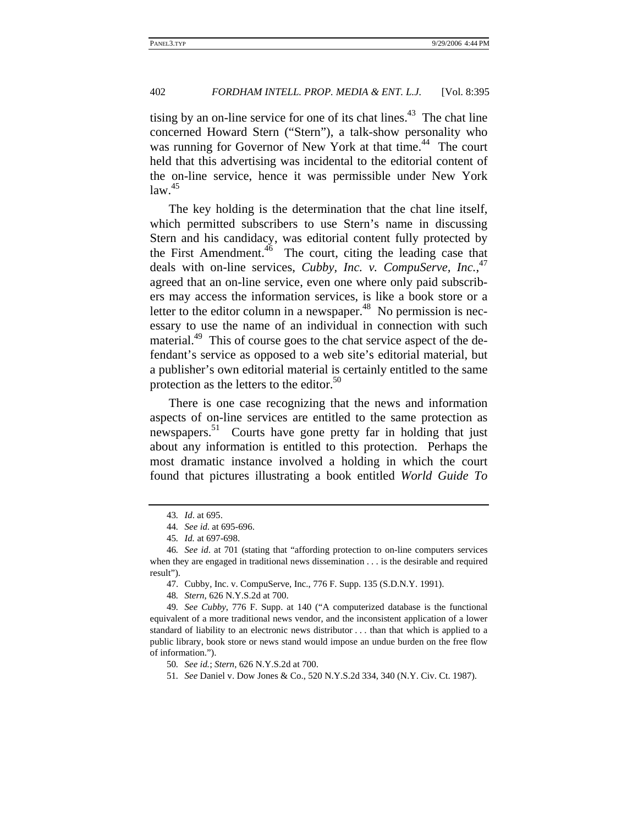tising by an on-line service for one of its chat lines. $43$  The chat line concerned Howard Stern ("Stern"), a talk-show personality who was running for Governor of New York at that time.<sup>44</sup> The court held that this advertising was incidental to the editorial content of the on-line service, hence it was permissible under New York  $law.<sup>45</sup>$ 

The key holding is the determination that the chat line itself, which permitted subscribers to use Stern's name in discussing Stern and his candidacy, was editorial content fully protected by the First Amendment.<sup>46</sup> The court, citing the leading case that deals with on-line services, *Cubby, Inc. v. CompuServe, Inc.*<sup>47</sup> agreed that an on-line service, even one where only paid subscribers may access the information services, is like a book store or a letter to the editor column in a newspaper. $48$  No permission is necessary to use the name of an individual in connection with such material.<sup>49</sup> This of course goes to the chat service aspect of the defendant's service as opposed to a web site's editorial material, but a publisher's own editorial material is certainly entitled to the same protection as the letters to the editor. $50$ 

There is one case recognizing that the news and information aspects of on-line services are entitled to the same protection as newspapers.<sup>51</sup> Courts have gone pretty far in holding that just about any information is entitled to this protection. Perhaps the most dramatic instance involved a holding in which the court found that pictures illustrating a book entitled *World Guide To* 

<sup>43</sup>*. Id*. at 695.

<sup>44</sup>*. See id*. at 695-696.

<sup>45</sup>*. Id.* at 697-698.

<sup>46</sup>*. See id*. at 701 (stating that "affording protection to on-line computers services when they are engaged in traditional news dissemination . . . is the desirable and required result").

<sup>47.</sup> Cubby, Inc. v. CompuServe, Inc., 776 F. Supp. 135 (S.D.N.Y. 1991).

<sup>48</sup>*. Stern*, 626 N.Y.S.2d at 700.

<sup>49</sup>*. See Cubby*, 776 F. Supp. at 140 ("A computerized database is the functional equivalent of a more traditional news vendor, and the inconsistent application of a lower standard of liability to an electronic news distributor . . . than that which is applied to a public library, book store or news stand would impose an undue burden on the free flow of information.").

<sup>50</sup>*. See id.*; *Stern*, 626 N.Y.S.2d at 700.

<sup>51</sup>*. See* Daniel v. Dow Jones & Co., 520 N.Y.S.2d 334, 340 (N.Y. Civ. Ct. 1987).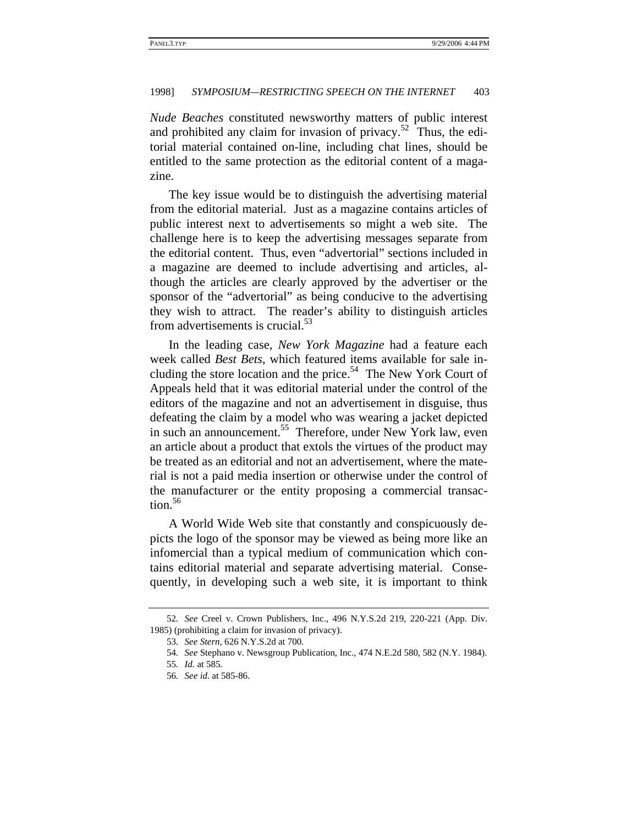*Nude Beaches* constituted newsworthy matters of public interest and prohibited any claim for invasion of privacy.<sup>52</sup> Thus, the editorial material contained on-line, including chat lines, should be entitled to the same protection as the editorial content of a magazine.

The key issue would be to distinguish the advertising material from the editorial material. Just as a magazine contains articles of public interest next to advertisements so might a web site. The challenge here is to keep the advertising messages separate from the editorial content. Thus, even "advertorial" sections included in a magazine are deemed to include advertising and articles, although the articles are clearly approved by the advertiser or the sponsor of the "advertorial" as being conducive to the advertising they wish to attract. The reader's ability to distinguish articles from advertisements is crucial.<sup>53</sup>

In the leading case, *New York Magazine* had a feature each week called *Best Bets*, which featured items available for sale including the store location and the price.<sup>54</sup> The New York Court of Appeals held that it was editorial material under the control of the editors of the magazine and not an advertisement in disguise, thus defeating the claim by a model who was wearing a jacket depicted in such an announcement.<sup>55</sup> Therefore, under New York law, even an article about a product that extols the virtues of the product may be treated as an editorial and not an advertisement, where the material is not a paid media insertion or otherwise under the control of the manufacturer or the entity proposing a commercial transaction.<sup>56</sup>

A World Wide Web site that constantly and conspicuously depicts the logo of the sponsor may be viewed as being more like an infomercial than a typical medium of communication which contains editorial material and separate advertising material. Consequently, in developing such a web site, it is important to think

<sup>52</sup>*. See* Creel v. Crown Publishers, Inc., 496 N.Y.S.2d 219, 220-221 (App. Div. 1985) (prohibiting a claim for invasion of privacy).

<sup>53</sup>*. See Stern*, 626 N.Y.S.2d at 700.

<sup>54</sup>*. See* Stephano v. Newsgroup Publication, Inc., 474 N.E.2d 580, 582 (N.Y. 1984).

<sup>55</sup>*. Id.* at 585*.*

<sup>56</sup>*. See id*. at 585-86.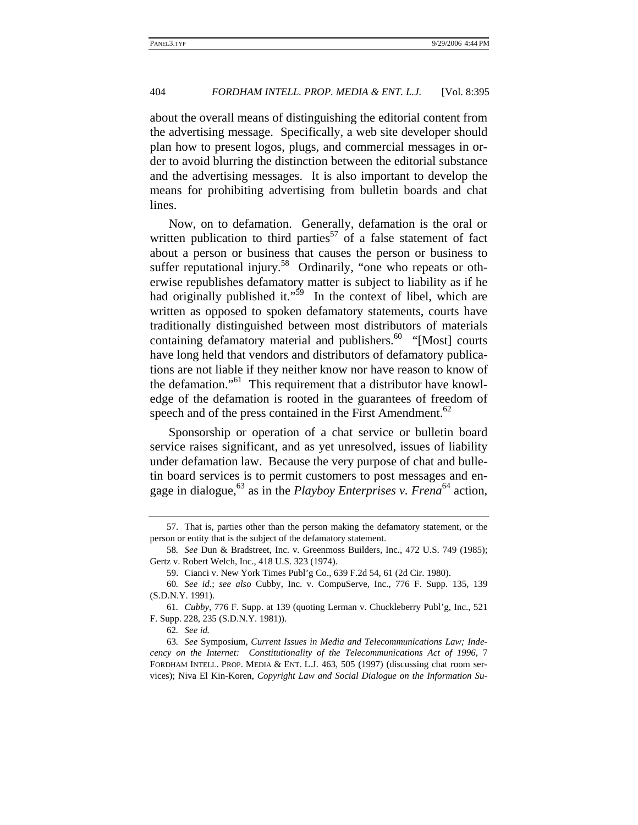about the overall means of distinguishing the editorial content from the advertising message. Specifically, a web site developer should plan how to present logos, plugs, and commercial messages in order to avoid blurring the distinction between the editorial substance and the advertising messages. It is also important to develop the means for prohibiting advertising from bulletin boards and chat lines.

Now, on to defamation. Generally, defamation is the oral or written publication to third parties<sup>57</sup> of a false statement of fact about a person or business that causes the person or business to suffer reputational injury.<sup>58</sup> Ordinarily, "one who repeats or otherwise republishes defamatory matter is subject to liability as if he had originally published it." $59$  In the context of libel, which are written as opposed to spoken defamatory statements, courts have traditionally distinguished between most distributors of materials containing defamatory material and publishers.<sup>60</sup> "[Most] courts have long held that vendors and distributors of defamatory publications are not liable if they neither know nor have reason to know of the defamation."<sup>61</sup> This requirement that a distributor have knowledge of the defamation is rooted in the guarantees of freedom of speech and of the press contained in the First Amendment. $62$ 

Sponsorship or operation of a chat service or bulletin board service raises significant, and as yet unresolved, issues of liability under defamation law. Because the very purpose of chat and bulletin board services is to permit customers to post messages and engage in dialogue,63 as in the *Playboy Enterprises v. Frena*64 action,

<sup>57.</sup> That is, parties other than the person making the defamatory statement, or the person or entity that is the subject of the defamatory statement.

<sup>58</sup>*. See* Dun & Bradstreet, Inc. v. Greenmoss Builders, Inc., 472 U.S. 749 (1985); Gertz v. Robert Welch, Inc., 418 U.S. 323 (1974).

<sup>59.</sup> Cianci v. New York Times Publ'g Co., 639 F.2d 54, 61 (2d Cir. 1980).

<sup>60</sup>*. See id.*; *see also* Cubby, Inc. v. CompuServe, Inc., 776 F. Supp. 135, 139 (S.D.N.Y. 1991).

<sup>61</sup>*. Cubby*, 776 F. Supp. at 139 (quoting Lerman v. Chuckleberry Publ'g, Inc., 521 F. Supp. 228, 235 (S.D.N.Y. 1981)).

<sup>62</sup>*. See id.*

<sup>63</sup>*. See* Symposium, *Current Issues in Media and Telecommunications Law; Indecency on the Internet: Constitutionality of the Telecommunications Act of 1996*, 7 FORDHAM INTELL. PROP. MEDIA & ENT. L.J. 463, 505 (1997) (discussing chat room services); Niva El Kin-Koren, *Copyright Law and Social Dialogue on the Information Su-*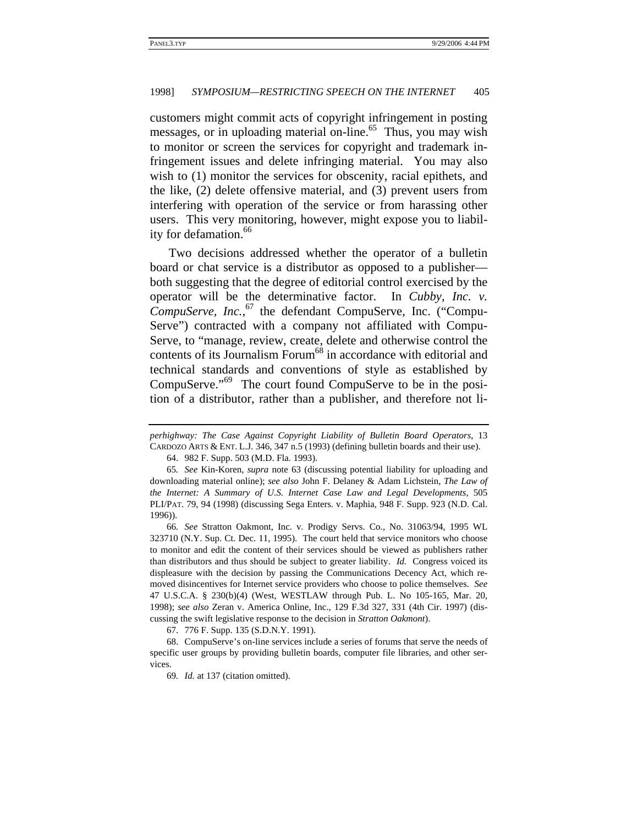customers might commit acts of copyright infringement in posting messages, or in uploading material on-line.<sup>65</sup> Thus, you may wish to monitor or screen the services for copyright and trademark infringement issues and delete infringing material. You may also wish to (1) monitor the services for obscenity, racial epithets, and the like, (2) delete offensive material, and (3) prevent users from interfering with operation of the service or from harassing other users. This very monitoring, however, might expose you to liability for defamation.<sup>66</sup>

Two decisions addressed whether the operator of a bulletin board or chat service is a distributor as opposed to a publisher both suggesting that the degree of editorial control exercised by the operator will be the determinative factor. In *Cubby, Inc. v. CompuServe, Inc.*, 67 the defendant CompuServe, Inc. ("Compu-Serve") contracted with a company not affiliated with Compu-Serve, to "manage, review, create, delete and otherwise control the contents of its Journalism Forum<sup>68</sup> in accordance with editorial and technical standards and conventions of style as established by CompuServe."69 The court found CompuServe to be in the position of a distributor, rather than a publisher, and therefore not li-

66*. See* Stratton Oakmont, Inc. v. Prodigy Servs. Co., No. 31063/94, 1995 WL 323710 (N.Y. Sup. Ct. Dec. 11, 1995). The court held that service monitors who choose to monitor and edit the content of their services should be viewed as publishers rather than distributors and thus should be subject to greater liability. *Id.* Congress voiced its displeasure with the decision by passing the Communications Decency Act, which removed disincentives for Internet service providers who choose to police themselves. *See* 47 U.S.C.A. § 230(b)(4) (West, WESTLAW through Pub. L. No 105-165, Mar. 20, 1998); *see also* Zeran v. America Online, Inc., 129 F.3d 327, 331 (4th Cir. 1997) (discussing the swift legislative response to the decision in *Stratton Oakmont*).

67. 776 F. Supp. 135 (S.D.N.Y. 1991).

68. CompuServe's on-line services include a series of forums that serve the needs of specific user groups by providing bulletin boards, computer file libraries, and other services.

69*. Id.* at 137 (citation omitted).

*perhighway: The Case Against Copyright Liability of Bulletin Board Operators*, 13 CARDOZO ARTS & ENT. L.J. 346, 347 n.5 (1993) (defining bulletin boards and their use).

<sup>64. 982</sup> F. Supp. 503 (M.D. Fla. 1993).

<sup>65</sup>*. See* Kin-Koren, *supra* note 63 (discussing potential liability for uploading and downloading material online); *see also* John F. Delaney & Adam Lichstein, *The Law of the Internet: A Summary of U.S. Internet Case Law and Legal Developments*, 505 PLI/PAT. 79, 94 (1998) (discussing Sega Enters. v. Maphia, 948 F. Supp. 923 (N.D. Cal. 1996)).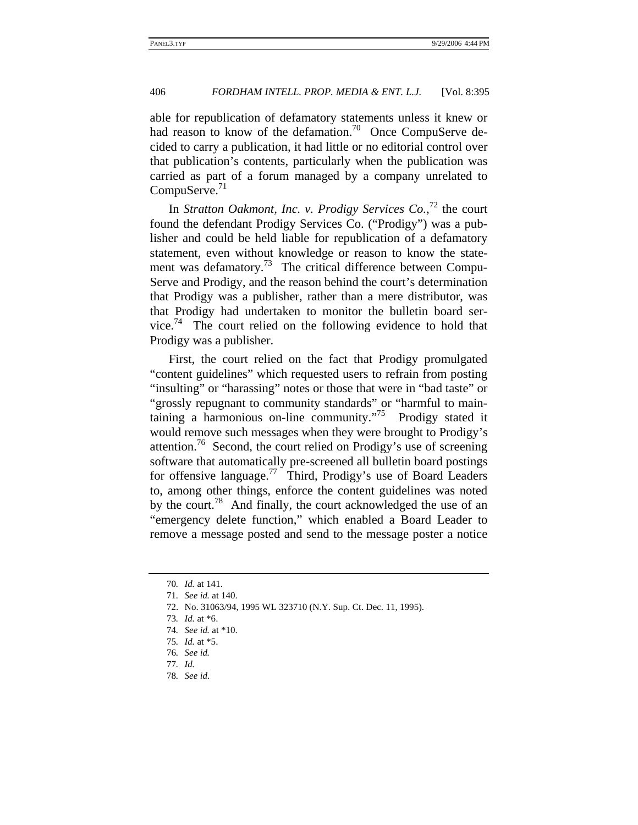able for republication of defamatory statements unless it knew or had reason to know of the defamation.<sup>70</sup> Once CompuServe decided to carry a publication, it had little or no editorial control over that publication's contents, particularly when the publication was carried as part of a forum managed by a company unrelated to  $CompuServe.<sup>71</sup>$ 

In *Stratton Oakmont, Inc. v. Prodigy Services Co.*,<sup>72</sup> the court found the defendant Prodigy Services Co. ("Prodigy") was a publisher and could be held liable for republication of a defamatory statement, even without knowledge or reason to know the statement was defamatory.<sup>73</sup> The critical difference between Compu-Serve and Prodigy, and the reason behind the court's determination that Prodigy was a publisher, rather than a mere distributor, was that Prodigy had undertaken to monitor the bulletin board service.<sup>74</sup> The court relied on the following evidence to hold that Prodigy was a publisher.

First, the court relied on the fact that Prodigy promulgated "content guidelines" which requested users to refrain from posting "insulting" or "harassing" notes or those that were in "bad taste" or "grossly repugnant to community standards" or "harmful to maintaining a harmonious on-line community."75 Prodigy stated it would remove such messages when they were brought to Prodigy's attention.<sup>76</sup> Second, the court relied on Prodigy's use of screening software that automatically pre-screened all bulletin board postings for offensive language.<sup>77</sup> Third, Prodigy's use of Board Leaders to, among other things, enforce the content guidelines was noted by the court.<sup>78</sup> And finally, the court acknowledged the use of an "emergency delete function," which enabled a Board Leader to remove a message posted and send to the message poster a notice

<sup>70</sup>*. Id.* at 141.

<sup>71</sup>*. See id.* at 140.

<sup>72.</sup> No. 31063/94, 1995 WL 323710 (N.Y. Sup. Ct. Dec. 11, 1995).

<sup>73</sup>*. Id.* at \*6.

<sup>74</sup>*. See id.* at \*10.

<sup>75</sup>*. Id.* at \*5.

<sup>76</sup>*. See id.*

<sup>77</sup>*. Id.*

<sup>78</sup>*. See id*.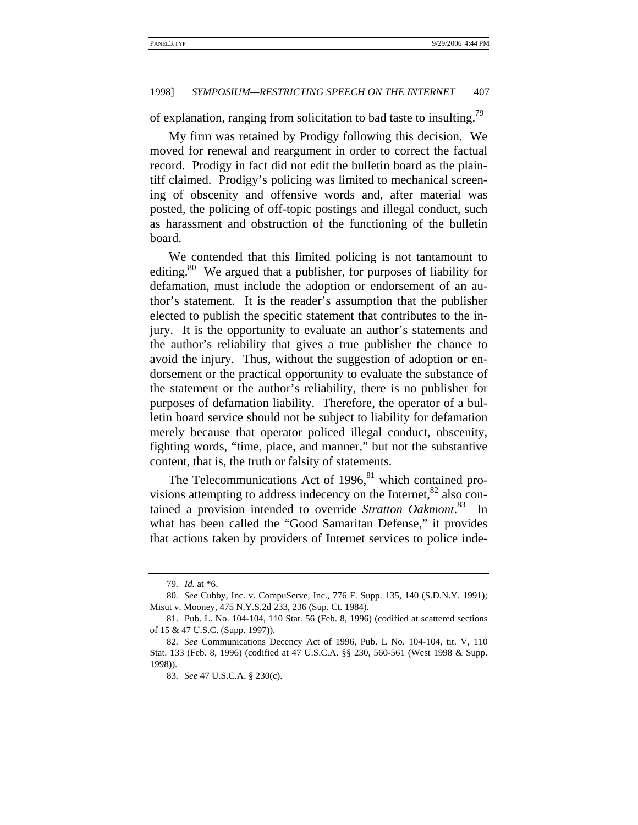of explanation, ranging from solicitation to bad taste to insulting.79

My firm was retained by Prodigy following this decision. We moved for renewal and reargument in order to correct the factual record. Prodigy in fact did not edit the bulletin board as the plaintiff claimed. Prodigy's policing was limited to mechanical screening of obscenity and offensive words and, after material was posted, the policing of off-topic postings and illegal conduct, such as harassment and obstruction of the functioning of the bulletin board.

We contended that this limited policing is not tantamount to editing.<sup>80</sup> We argued that a publisher, for purposes of liability for defamation, must include the adoption or endorsement of an author's statement. It is the reader's assumption that the publisher elected to publish the specific statement that contributes to the injury. It is the opportunity to evaluate an author's statements and the author's reliability that gives a true publisher the chance to avoid the injury. Thus, without the suggestion of adoption or endorsement or the practical opportunity to evaluate the substance of the statement or the author's reliability, there is no publisher for purposes of defamation liability. Therefore, the operator of a bulletin board service should not be subject to liability for defamation merely because that operator policed illegal conduct, obscenity, fighting words, "time, place, and manner," but not the substantive content, that is, the truth or falsity of statements.

The Telecommunications Act of  $1996$ ,<sup>81</sup> which contained provisions attempting to address indecency on the Internet, $82$  also contained a provision intended to override *Stratton Oakmont*. 83 In what has been called the "Good Samaritan Defense," it provides that actions taken by providers of Internet services to police inde-

<sup>79</sup>*. Id.* at \*6.

<sup>80</sup>*. See* Cubby, Inc. v. CompuServe, Inc., 776 F. Supp. 135, 140 (S.D.N.Y. 1991); Misut v. Mooney, 475 N.Y.S.2d 233, 236 (Sup. Ct. 1984).

<sup>81.</sup> Pub. L. No. 104-104, 110 Stat. 56 (Feb. 8, 1996) (codified at scattered sections of 15 & 47 U.S.C. (Supp. 1997)).

<sup>82</sup>*. See* Communications Decency Act of 1996, Pub. L No. 104-104, tit. V, 110 Stat. 133 (Feb. 8, 1996) (codified at 47 U.S.C.A. §§ 230, 560-561 (West 1998 & Supp. 1998)).

<sup>83</sup>*. See* 47 U.S.C.A. § 230(c).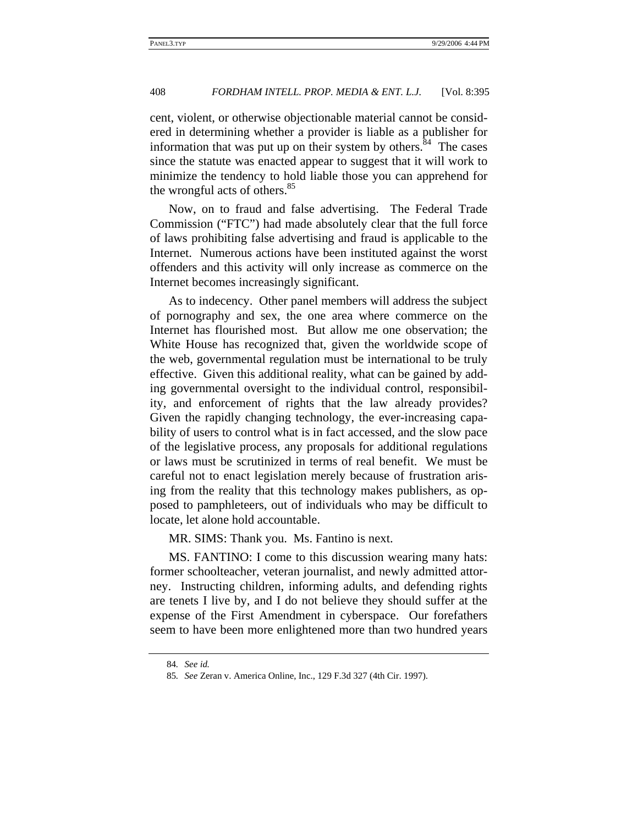cent, violent, or otherwise objectionable material cannot be considered in determining whether a provider is liable as a publisher for information that was put up on their system by others. $84$  The cases since the statute was enacted appear to suggest that it will work to minimize the tendency to hold liable those you can apprehend for the wrongful acts of others.<sup>85</sup>

Now, on to fraud and false advertising. The Federal Trade Commission ("FTC") had made absolutely clear that the full force of laws prohibiting false advertising and fraud is applicable to the Internet. Numerous actions have been instituted against the worst offenders and this activity will only increase as commerce on the Internet becomes increasingly significant.

As to indecency. Other panel members will address the subject of pornography and sex, the one area where commerce on the Internet has flourished most. But allow me one observation; the White House has recognized that, given the worldwide scope of the web, governmental regulation must be international to be truly effective. Given this additional reality, what can be gained by adding governmental oversight to the individual control, responsibility, and enforcement of rights that the law already provides? Given the rapidly changing technology, the ever-increasing capability of users to control what is in fact accessed, and the slow pace of the legislative process, any proposals for additional regulations or laws must be scrutinized in terms of real benefit. We must be careful not to enact legislation merely because of frustration arising from the reality that this technology makes publishers, as opposed to pamphleteers, out of individuals who may be difficult to locate, let alone hold accountable.

MR. SIMS: Thank you. Ms. Fantino is next.

MS. FANTINO: I come to this discussion wearing many hats: former schoolteacher, veteran journalist, and newly admitted attorney. Instructing children, informing adults, and defending rights are tenets I live by, and I do not believe they should suffer at the expense of the First Amendment in cyberspace. Our forefathers seem to have been more enlightened more than two hundred years

<sup>84</sup>*. See id.*

<sup>85</sup>*. See* Zeran v. America Online, Inc., 129 F.3d 327 (4th Cir. 1997).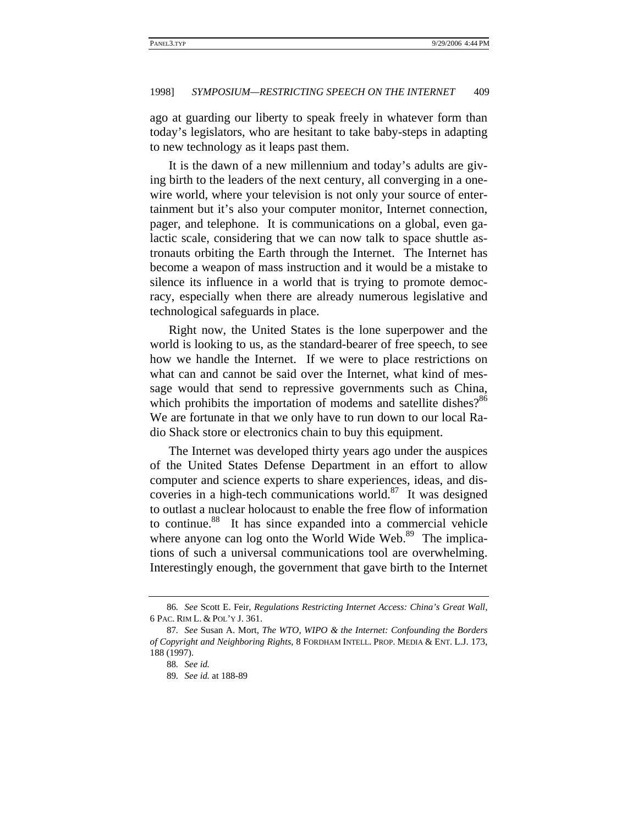ago at guarding our liberty to speak freely in whatever form than today's legislators, who are hesitant to take baby-steps in adapting to new technology as it leaps past them.

It is the dawn of a new millennium and today's adults are giving birth to the leaders of the next century, all converging in a onewire world, where your television is not only your source of entertainment but it's also your computer monitor, Internet connection, pager, and telephone. It is communications on a global, even galactic scale, considering that we can now talk to space shuttle astronauts orbiting the Earth through the Internet. The Internet has become a weapon of mass instruction and it would be a mistake to silence its influence in a world that is trying to promote democracy, especially when there are already numerous legislative and technological safeguards in place.

Right now, the United States is the lone superpower and the world is looking to us, as the standard-bearer of free speech, to see how we handle the Internet. If we were to place restrictions on what can and cannot be said over the Internet, what kind of message would that send to repressive governments such as China, which prohibits the importation of modems and satellite dishes?<sup>86</sup> We are fortunate in that we only have to run down to our local Radio Shack store or electronics chain to buy this equipment.

The Internet was developed thirty years ago under the auspices of the United States Defense Department in an effort to allow computer and science experts to share experiences, ideas, and discoveries in a high-tech communications world. $87$  It was designed to outlast a nuclear holocaust to enable the free flow of information to continue.<sup>88</sup> It has since expanded into a commercial vehicle where anyone can log onto the World Wide Web.<sup>89</sup> The implications of such a universal communications tool are overwhelming. Interestingly enough, the government that gave birth to the Internet

<sup>86</sup>*. See* Scott E. Feir, *Regulations Restricting Internet Access: China's Great Wall*, 6 PAC. RIM L. & POL'Y J. 361.

<sup>87</sup>*. See* Susan A. Mort, *The WTO, WIPO & the Internet: Confounding the Borders of Copyright and Neighboring Rights*, 8 FORDHAM INTELL. PROP. MEDIA & ENT. L.J. 173, 188 (1997).

<sup>88</sup>*. See id.*

<sup>89</sup>*. See id.* at 188-89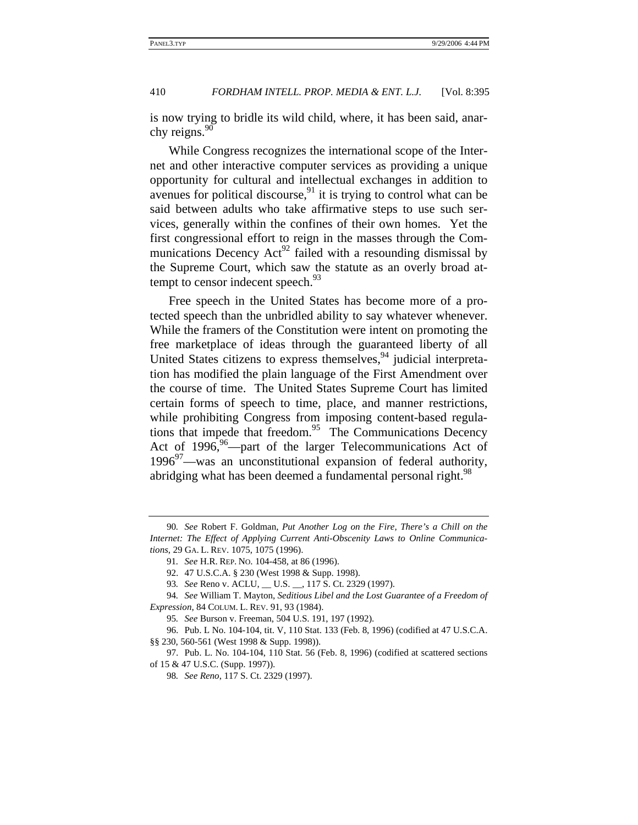is now trying to bridle its wild child, where, it has been said, anarchy reigns. $90$ 

While Congress recognizes the international scope of the Internet and other interactive computer services as providing a unique opportunity for cultural and intellectual exchanges in addition to avenues for political discourse,  $91$  it is trying to control what can be said between adults who take affirmative steps to use such services, generally within the confines of their own homes. Yet the first congressional effort to reign in the masses through the Communications Decency  $Act^{92}$  failed with a resounding dismissal by the Supreme Court, which saw the statute as an overly broad attempt to censor indecent speech.<sup>93</sup>

Free speech in the United States has become more of a protected speech than the unbridled ability to say whatever whenever. While the framers of the Constitution were intent on promoting the free marketplace of ideas through the guaranteed liberty of all United States citizens to express themselves,  $94$  judicial interpretation has modified the plain language of the First Amendment over the course of time. The United States Supreme Court has limited certain forms of speech to time, place, and manner restrictions, while prohibiting Congress from imposing content-based regulations that impede that freedom. $95$  The Communications Decency Act of  $1996,^{96}$ —part of the larger Telecommunications Act of  $1996^{97}$ —was an unconstitutional expansion of federal authority, abridging what has been deemed a fundamental personal right.<sup>98</sup>

<sup>90</sup>*. See* Robert F. Goldman, *Put Another Log on the Fire, There's a Chill on the Internet: The Effect of Applying Current Anti-Obscenity Laws to Online Communications*, 29 GA. L. REV. 1075, 1075 (1996).

<sup>91</sup>*. See* H.R. REP. NO. 104-458, at 86 (1996).

<sup>92. 47</sup> U.S.C.A. § 230 (West 1998 & Supp. 1998).

<sup>93</sup>*. See* Reno v. ACLU, \_\_ U.S. \_\_, 117 S. Ct. 2329 (1997).

<sup>94</sup>*. See* William T. Mayton, *Seditious Libel and the Lost Guarantee of a Freedom of Expression*, 84 COLUM. L. REV. 91, 93 (1984).

<sup>95</sup>*. See* Burson v. Freeman, 504 U.S. 191, 197 (1992).

<sup>96.</sup> Pub. L No. 104-104, tit. V, 110 Stat. 133 (Feb. 8, 1996) (codified at 47 U.S.C.A. §§ 230, 560-561 (West 1998 & Supp. 1998)).

<sup>97.</sup> Pub. L. No. 104-104, 110 Stat. 56 (Feb. 8, 1996) (codified at scattered sections of 15 & 47 U.S.C. (Supp. 1997)).

<sup>98</sup>*. See Reno*, 117 S. Ct. 2329 (1997).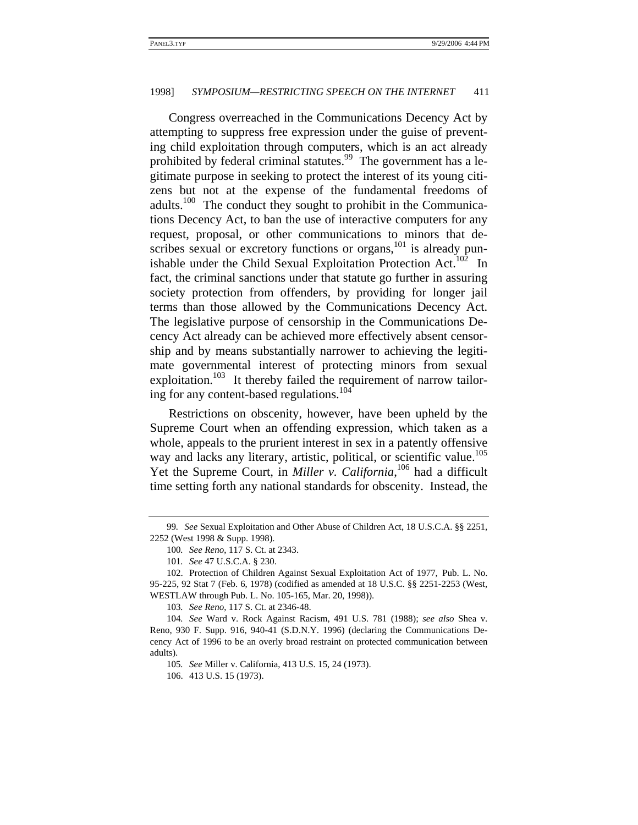Congress overreached in the Communications Decency Act by attempting to suppress free expression under the guise of preventing child exploitation through computers, which is an act already prohibited by federal criminal statutes.<sup>99</sup> The government has a legitimate purpose in seeking to protect the interest of its young citizens but not at the expense of the fundamental freedoms of adults.<sup>100</sup> The conduct they sought to prohibit in the Communications Decency Act, to ban the use of interactive computers for any request, proposal, or other communications to minors that describes sexual or excretory functions or organs,<sup>101</sup> is already punishable under the Child Sexual Exploitation Protection Act.<sup>102</sup> In fact, the criminal sanctions under that statute go further in assuring society protection from offenders, by providing for longer jail terms than those allowed by the Communications Decency Act. The legislative purpose of censorship in the Communications Decency Act already can be achieved more effectively absent censorship and by means substantially narrower to achieving the legitimate governmental interest of protecting minors from sexual exploitation.<sup>103</sup> It thereby failed the requirement of narrow tailoring for any content-based regulations.<sup>104</sup>

Restrictions on obscenity, however, have been upheld by the Supreme Court when an offending expression, which taken as a whole, appeals to the prurient interest in sex in a patently offensive way and lacks any literary, artistic, political, or scientific value.<sup>105</sup> Yet the Supreme Court, in *Miller v. California*,<sup>106</sup> had a difficult time setting forth any national standards for obscenity. Instead, the

103*. See Reno*, 117 S. Ct. at 2346-48.

105*. See* Miller v. California, 413 U.S. 15, 24 (1973).

106. 413 U.S. 15 (1973).

<sup>99</sup>*. See* Sexual Exploitation and Other Abuse of Children Act, 18 U.S.C.A. §§ 2251, 2252 (West 1998 & Supp. 1998).

<sup>100</sup>*. See Reno*, 117 S. Ct. at 2343.

<sup>101</sup>*. See* 47 U.S.C.A. § 230.

<sup>102.</sup> Protection of Children Against Sexual Exploitation Act of 1977, Pub. L. No. 95-225, 92 Stat 7 (Feb. 6, 1978) (codified as amended at 18 U.S.C. §§ 2251-2253 (West, WESTLAW through Pub. L. No. 105-165, Mar. 20, 1998)).

<sup>104</sup>*. See* Ward v. Rock Against Racism, 491 U.S. 781 (1988); *see also* Shea v. Reno, 930 F. Supp. 916, 940-41 (S.D.N.Y. 1996) (declaring the Communications Decency Act of 1996 to be an overly broad restraint on protected communication between adults).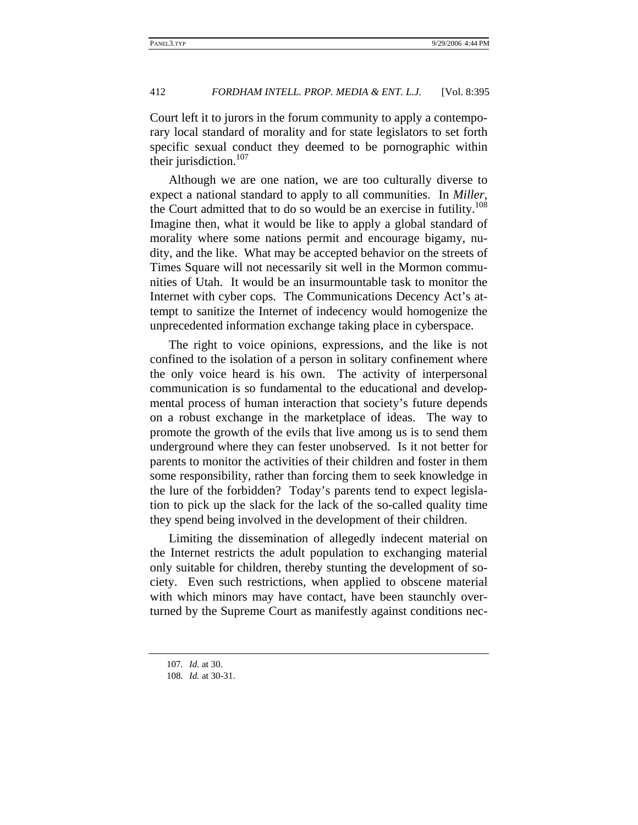Court left it to jurors in the forum community to apply a contemporary local standard of morality and for state legislators to set forth specific sexual conduct they deemed to be pornographic within their jurisdiction.<sup>107</sup>

Although we are one nation, we are too culturally diverse to expect a national standard to apply to all communities. In *Miller*, the Court admitted that to do so would be an exercise in futility.<sup>108</sup> Imagine then, what it would be like to apply a global standard of morality where some nations permit and encourage bigamy, nudity, and the like. What may be accepted behavior on the streets of Times Square will not necessarily sit well in the Mormon communities of Utah. It would be an insurmountable task to monitor the Internet with cyber cops. The Communications Decency Act's attempt to sanitize the Internet of indecency would homogenize the unprecedented information exchange taking place in cyberspace.

The right to voice opinions, expressions, and the like is not confined to the isolation of a person in solitary confinement where the only voice heard is his own. The activity of interpersonal communication is so fundamental to the educational and developmental process of human interaction that society's future depends on a robust exchange in the marketplace of ideas. The way to promote the growth of the evils that live among us is to send them underground where they can fester unobserved. Is it not better for parents to monitor the activities of their children and foster in them some responsibility, rather than forcing them to seek knowledge in the lure of the forbidden? Today's parents tend to expect legislation to pick up the slack for the lack of the so-called quality time they spend being involved in the development of their children.

Limiting the dissemination of allegedly indecent material on the Internet restricts the adult population to exchanging material only suitable for children, thereby stunting the development of society. Even such restrictions, when applied to obscene material with which minors may have contact, have been staunchly overturned by the Supreme Court as manifestly against conditions nec-

<sup>107</sup>*. Id.* at 30.

<sup>108</sup>*. Id.* at 30-31.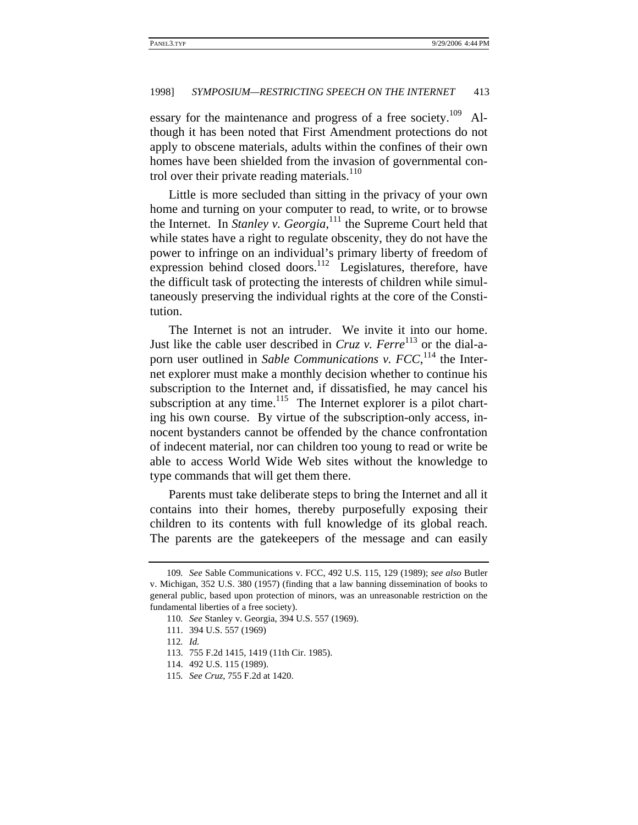essary for the maintenance and progress of a free society.<sup>109</sup> Although it has been noted that First Amendment protections do not apply to obscene materials, adults within the confines of their own homes have been shielded from the invasion of governmental control over their private reading materials.<sup>110</sup>

Little is more secluded than sitting in the privacy of your own home and turning on your computer to read, to write, or to browse the Internet. In *Stanley v. Georgia*, 111 the Supreme Court held that while states have a right to regulate obscenity, they do not have the power to infringe on an individual's primary liberty of freedom of expression behind closed doors.<sup>112</sup> Legislatures, therefore, have the difficult task of protecting the interests of children while simultaneously preserving the individual rights at the core of the Constitution.

The Internet is not an intruder. We invite it into our home. Just like the cable user described in *Cruz v. Ferre*<sup>113</sup> or the dial-aporn user outlined in *Sable Communications v. FCC*,<sup>114</sup> the Internet explorer must make a monthly decision whether to continue his subscription to the Internet and, if dissatisfied, he may cancel his subscription at any time.<sup>115</sup> The Internet explorer is a pilot charting his own course. By virtue of the subscription-only access, innocent bystanders cannot be offended by the chance confrontation of indecent material, nor can children too young to read or write be able to access World Wide Web sites without the knowledge to type commands that will get them there.

Parents must take deliberate steps to bring the Internet and all it contains into their homes, thereby purposefully exposing their children to its contents with full knowledge of its global reach. The parents are the gatekeepers of the message and can easily

<sup>109</sup>*. See* Sable Communications v. FCC, 492 U.S. 115, 129 (1989); *see also* Butler v. Michigan, 352 U.S. 380 (1957) (finding that a law banning dissemination of books to general public, based upon protection of minors, was an unreasonable restriction on the fundamental liberties of a free society).

<sup>110</sup>*. See* Stanley v. Georgia, 394 U.S. 557 (1969).

<sup>111. 394</sup> U.S. 557 (1969)

<sup>112</sup>*. Id.*

<sup>113. 755</sup> F.2d 1415, 1419 (11th Cir. 1985).

<sup>114. 492</sup> U.S. 115 (1989).

<sup>115</sup>*. See Cruz*, 755 F.2d at 1420.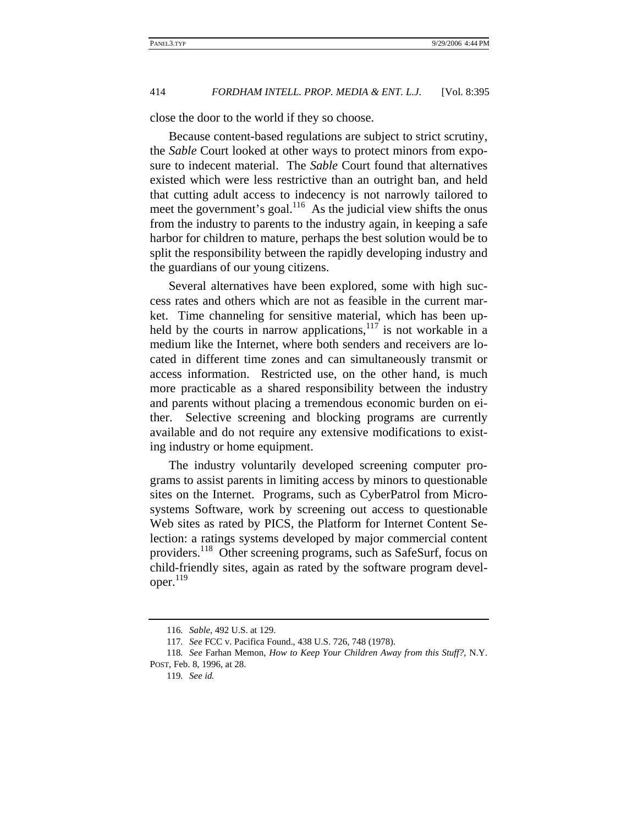close the door to the world if they so choose.

Because content-based regulations are subject to strict scrutiny, the *Sable* Court looked at other ways to protect minors from exposure to indecent material. The *Sable* Court found that alternatives existed which were less restrictive than an outright ban, and held that cutting adult access to indecency is not narrowly tailored to meet the government's goal.<sup>116</sup> As the judicial view shifts the onus from the industry to parents to the industry again, in keeping a safe harbor for children to mature, perhaps the best solution would be to split the responsibility between the rapidly developing industry and the guardians of our young citizens.

Several alternatives have been explored, some with high success rates and others which are not as feasible in the current market. Time channeling for sensitive material, which has been upheld by the courts in narrow applications,  $117$  is not workable in a medium like the Internet, where both senders and receivers are located in different time zones and can simultaneously transmit or access information. Restricted use, on the other hand, is much more practicable as a shared responsibility between the industry and parents without placing a tremendous economic burden on either. Selective screening and blocking programs are currently available and do not require any extensive modifications to existing industry or home equipment.

The industry voluntarily developed screening computer programs to assist parents in limiting access by minors to questionable sites on the Internet. Programs, such as CyberPatrol from Microsystems Software, work by screening out access to questionable Web sites as rated by PICS, the Platform for Internet Content Selection: a ratings systems developed by major commercial content providers.118 Other screening programs, such as SafeSurf, focus on child-friendly sites, again as rated by the software program devel $oper.$ <sup>119</sup>

<sup>116</sup>*. Sable*, 492 U.S. at 129.

<sup>117</sup>*. See* FCC v. Pacifica Found., 438 U.S. 726, 748 (1978).

<sup>118</sup>*. See* Farhan Memon, *How to Keep Your Children Away from this Stuff?*, N.Y. POST, Feb. 8, 1996, at 28.

<sup>119</sup>*. See id.*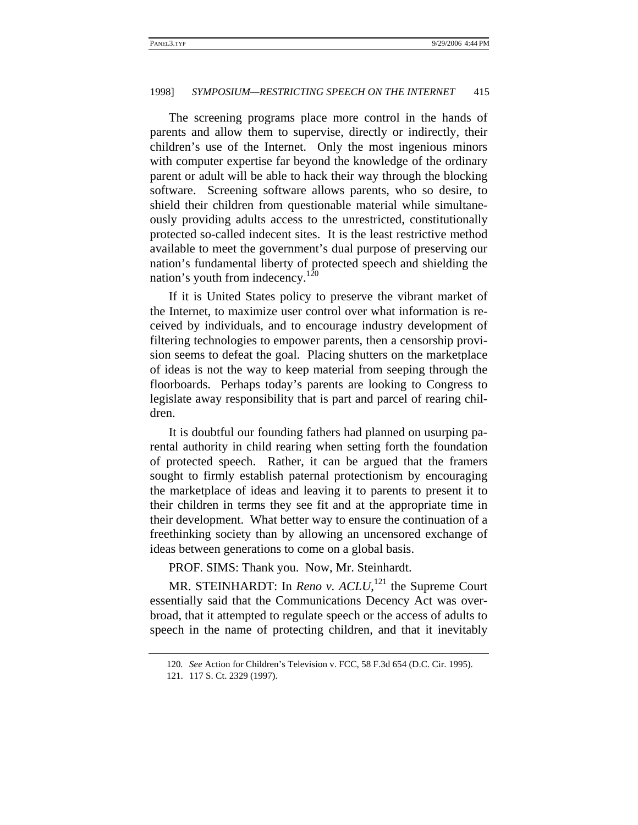The screening programs place more control in the hands of parents and allow them to supervise, directly or indirectly, their children's use of the Internet. Only the most ingenious minors with computer expertise far beyond the knowledge of the ordinary parent or adult will be able to hack their way through the blocking software. Screening software allows parents, who so desire, to shield their children from questionable material while simultaneously providing adults access to the unrestricted, constitutionally protected so-called indecent sites. It is the least restrictive method available to meet the government's dual purpose of preserving our nation's fundamental liberty of protected speech and shielding the nation's youth from indecency.<sup>120</sup>

If it is United States policy to preserve the vibrant market of the Internet, to maximize user control over what information is received by individuals, and to encourage industry development of filtering technologies to empower parents, then a censorship provision seems to defeat the goal. Placing shutters on the marketplace of ideas is not the way to keep material from seeping through the floorboards. Perhaps today's parents are looking to Congress to legislate away responsibility that is part and parcel of rearing children.

It is doubtful our founding fathers had planned on usurping parental authority in child rearing when setting forth the foundation of protected speech. Rather, it can be argued that the framers sought to firmly establish paternal protectionism by encouraging the marketplace of ideas and leaving it to parents to present it to their children in terms they see fit and at the appropriate time in their development. What better way to ensure the continuation of a freethinking society than by allowing an uncensored exchange of ideas between generations to come on a global basis.

PROF. SIMS: Thank you. Now, Mr. Steinhardt.

MR. STEINHARDT: In *Reno v. ACLU*,<sup>121</sup> the Supreme Court essentially said that the Communications Decency Act was overbroad, that it attempted to regulate speech or the access of adults to speech in the name of protecting children, and that it inevitably

<sup>120</sup>*. See* Action for Children's Television v. FCC, 58 F.3d 654 (D.C. Cir. 1995).

<sup>121. 117</sup> S. Ct. 2329 (1997).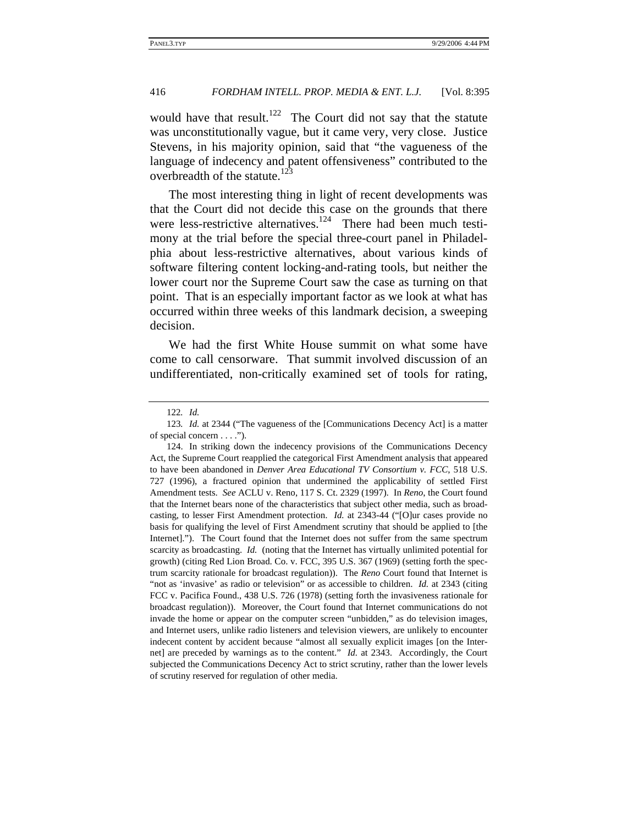would have that result.<sup>122</sup> The Court did not say that the statute was unconstitutionally vague, but it came very, very close. Justice Stevens, in his majority opinion, said that "the vagueness of the language of indecency and patent offensiveness" contributed to the overbreadth of the statute.<sup>123</sup>

The most interesting thing in light of recent developments was that the Court did not decide this case on the grounds that there were less-restrictive alternatives.<sup>124</sup> There had been much testimony at the trial before the special three-court panel in Philadelphia about less-restrictive alternatives, about various kinds of software filtering content locking-and-rating tools, but neither the lower court nor the Supreme Court saw the case as turning on that point. That is an especially important factor as we look at what has occurred within three weeks of this landmark decision, a sweeping decision.

We had the first White House summit on what some have come to call censorware. That summit involved discussion of an undifferentiated, non-critically examined set of tools for rating,

<sup>122</sup>*. Id.*

<sup>123</sup>*. Id.* at 2344 ("The vagueness of the [Communications Decency Act] is a matter of special concern . . . .").

<sup>124.</sup> In striking down the indecency provisions of the Communications Decency Act, the Supreme Court reapplied the categorical First Amendment analysis that appeared to have been abandoned in *Denver Area Educational TV Consortium v. FCC*, 518 U.S. 727 (1996), a fractured opinion that undermined the applicability of settled First Amendment tests. *See* ACLU v. Reno, 117 S. Ct. 2329 (1997). In *Reno*, the Court found that the Internet bears none of the characteristics that subject other media, such as broadcasting, to lesser First Amendment protection. *Id.* at 2343-44 ("[O]ur cases provide no basis for qualifying the level of First Amendment scrutiny that should be applied to [the Internet]."). The Court found that the Internet does not suffer from the same spectrum scarcity as broadcasting. *Id.* (noting that the Internet has virtually unlimited potential for growth) (citing Red Lion Broad. Co. v. FCC, 395 U.S. 367 (1969) (setting forth the spectrum scarcity rationale for broadcast regulation)). The *Reno* Court found that Internet is "not as 'invasive' as radio or television" or as accessible to children. *Id.* at 2343 (citing FCC v. Pacifica Found., 438 U.S. 726 (1978) (setting forth the invasiveness rationale for broadcast regulation)). Moreover, the Court found that Internet communications do not invade the home or appear on the computer screen "unbidden," as do television images, and Internet users, unlike radio listeners and television viewers, are unlikely to encounter indecent content by accident because "almost all sexually explicit images [on the Internet] are preceded by warnings as to the content." *Id.* at 2343. Accordingly, the Court subjected the Communications Decency Act to strict scrutiny, rather than the lower levels of scrutiny reserved for regulation of other media.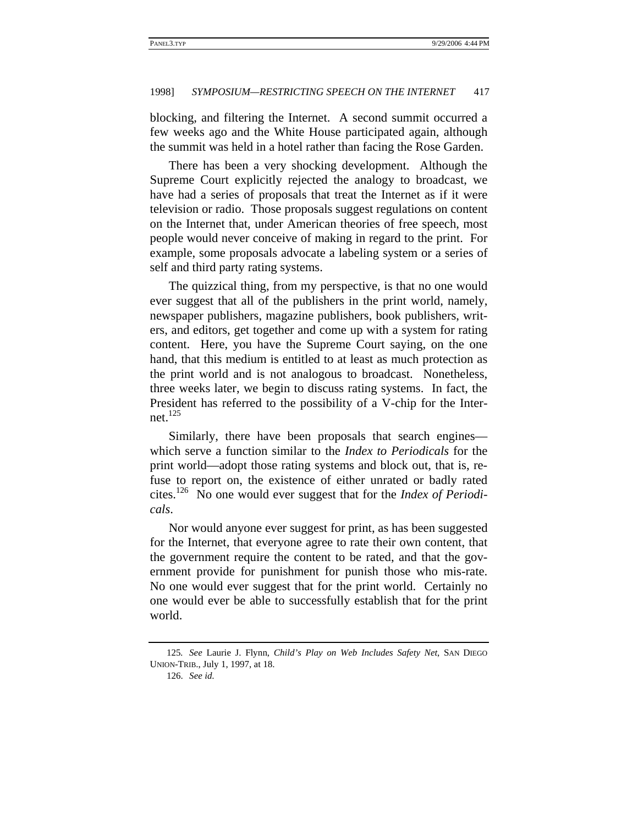blocking, and filtering the Internet. A second summit occurred a few weeks ago and the White House participated again, although the summit was held in a hotel rather than facing the Rose Garden.

There has been a very shocking development. Although the Supreme Court explicitly rejected the analogy to broadcast, we have had a series of proposals that treat the Internet as if it were television or radio. Those proposals suggest regulations on content on the Internet that, under American theories of free speech, most people would never conceive of making in regard to the print. For example, some proposals advocate a labeling system or a series of self and third party rating systems.

The quizzical thing, from my perspective, is that no one would ever suggest that all of the publishers in the print world, namely, newspaper publishers, magazine publishers, book publishers, writers, and editors, get together and come up with a system for rating content. Here, you have the Supreme Court saying, on the one hand, that this medium is entitled to at least as much protection as the print world and is not analogous to broadcast. Nonetheless, three weeks later, we begin to discuss rating systems. In fact, the President has referred to the possibility of a V-chip for the Internet. $^{125}$ 

Similarly, there have been proposals that search engines which serve a function similar to the *Index to Periodicals* for the print world—adopt those rating systems and block out, that is, refuse to report on, the existence of either unrated or badly rated cites.126 No one would ever suggest that for the *Index of Periodicals*.

Nor would anyone ever suggest for print, as has been suggested for the Internet, that everyone agree to rate their own content, that the government require the content to be rated, and that the government provide for punishment for punish those who mis-rate. No one would ever suggest that for the print world. Certainly no one would ever be able to successfully establish that for the print world.

<sup>125</sup>*. See* Laurie J. Flynn, *Child's Play on Web Includes Safety Net*, SAN DIEGO UNION-TRIB., July 1, 1997, at 18.

<sup>126.</sup> *See id*.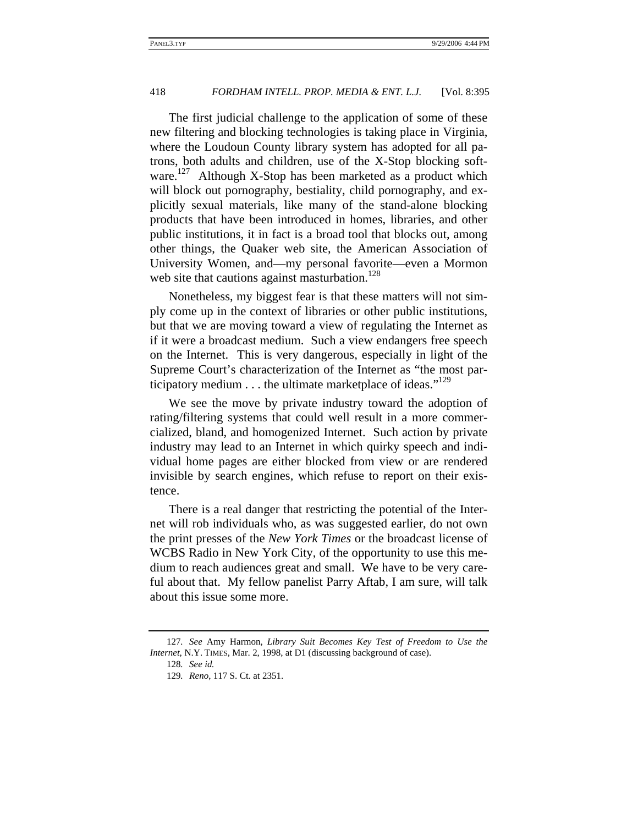The first judicial challenge to the application of some of these new filtering and blocking technologies is taking place in Virginia, where the Loudoun County library system has adopted for all patrons, both adults and children, use of the X-Stop blocking software.<sup>127</sup> Although X-Stop has been marketed as a product which will block out pornography, bestiality, child pornography, and explicitly sexual materials, like many of the stand-alone blocking products that have been introduced in homes, libraries, and other public institutions, it in fact is a broad tool that blocks out, among other things, the Quaker web site, the American Association of University Women, and—my personal favorite—even a Mormon web site that cautions against masturbation.<sup>128</sup>

Nonetheless, my biggest fear is that these matters will not simply come up in the context of libraries or other public institutions, but that we are moving toward a view of regulating the Internet as if it were a broadcast medium. Such a view endangers free speech on the Internet. This is very dangerous, especially in light of the Supreme Court's characterization of the Internet as "the most participatory medium  $\dots$  the ultimate marketplace of ideas."<sup>129</sup>

We see the move by private industry toward the adoption of rating/filtering systems that could well result in a more commercialized, bland, and homogenized Internet. Such action by private industry may lead to an Internet in which quirky speech and individual home pages are either blocked from view or are rendered invisible by search engines, which refuse to report on their existence.

There is a real danger that restricting the potential of the Internet will rob individuals who, as was suggested earlier, do not own the print presses of the *New York Times* or the broadcast license of WCBS Radio in New York City, of the opportunity to use this medium to reach audiences great and small. We have to be very careful about that. My fellow panelist Parry Aftab, I am sure, will talk about this issue some more.

<sup>127</sup>*. See* Amy Harmon, *Library Suit Becomes Key Test of Freedom to Use the Internet*, N.Y. TIMES, Mar. 2, 1998, at D1 (discussing background of case).

<sup>128</sup>*. See id.*

<sup>129</sup>*. Reno*, 117 S. Ct. at 2351.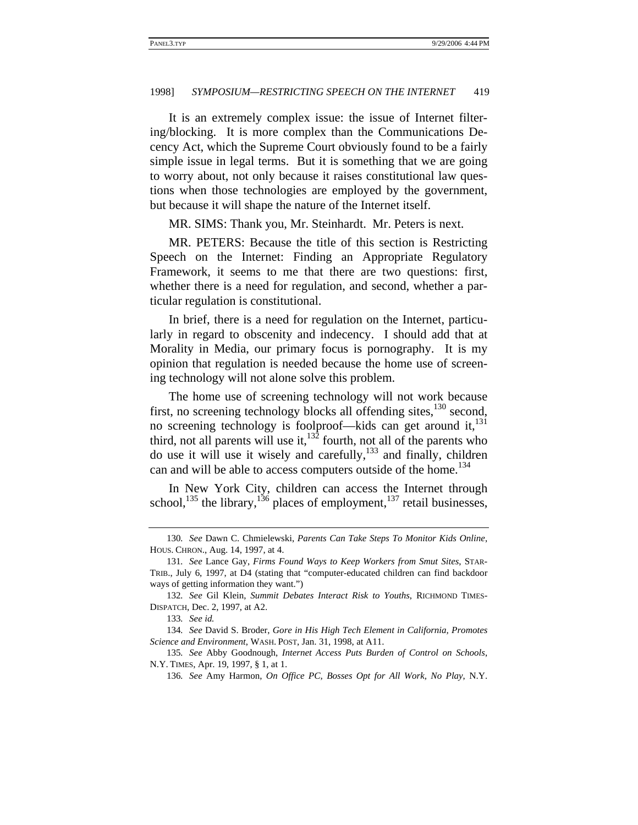It is an extremely complex issue: the issue of Internet filtering/blocking. It is more complex than the Communications Decency Act, which the Supreme Court obviously found to be a fairly simple issue in legal terms. But it is something that we are going to worry about, not only because it raises constitutional law questions when those technologies are employed by the government, but because it will shape the nature of the Internet itself.

MR. SIMS: Thank you, Mr. Steinhardt. Mr. Peters is next.

MR. PETERS: Because the title of this section is Restricting Speech on the Internet: Finding an Appropriate Regulatory Framework, it seems to me that there are two questions: first, whether there is a need for regulation, and second, whether a particular regulation is constitutional.

In brief, there is a need for regulation on the Internet, particularly in regard to obscenity and indecency. I should add that at Morality in Media, our primary focus is pornography. It is my opinion that regulation is needed because the home use of screening technology will not alone solve this problem.

The home use of screening technology will not work because first, no screening technology blocks all offending sites,<sup>130</sup> second, no screening technology is foolproof—kids can get around it, $^{131}$ third, not all parents will use it, $132$  fourth, not all of the parents who do use it will use it wisely and carefully, $133$  and finally, children can and will be able to access computers outside of the home.<sup>134</sup>

In New York City, children can access the Internet through school,  $^{135}$  the library,  $^{136}$  places of employment,  $^{137}$  retail businesses,

<sup>130</sup>*. See* Dawn C. Chmielewski, *Parents Can Take Steps To Monitor Kids Online*, HOUS. CHRON., Aug. 14, 1997, at 4.

<sup>131</sup>*. See* Lance Gay, *Firms Found Ways to Keep Workers from Smut Sites*, STAR-TRIB., July 6, 1997, at D4 (stating that "computer-educated children can find backdoor ways of getting information they want.")

<sup>132</sup>*. See* Gil Klein, *Summit Debates Interact Risk to Youths*, RICHMOND TIMES-DISPATCH, Dec. 2, 1997, at A2.

<sup>133</sup>*. See id.*

<sup>134</sup>*. See* David S. Broder, *Gore in His High Tech Element in California, Promotes Science and Environment*, WASH. POST, Jan. 31, 1998, at A11.

<sup>135</sup>*. See* Abby Goodnough, *Internet Access Puts Burden of Control on Schools*, N.Y. TIMES, Apr. 19, 1997, § 1, at 1.

<sup>136</sup>*. See* Amy Harmon, *On Office PC, Bosses Opt for All Work, No Play*, N.Y.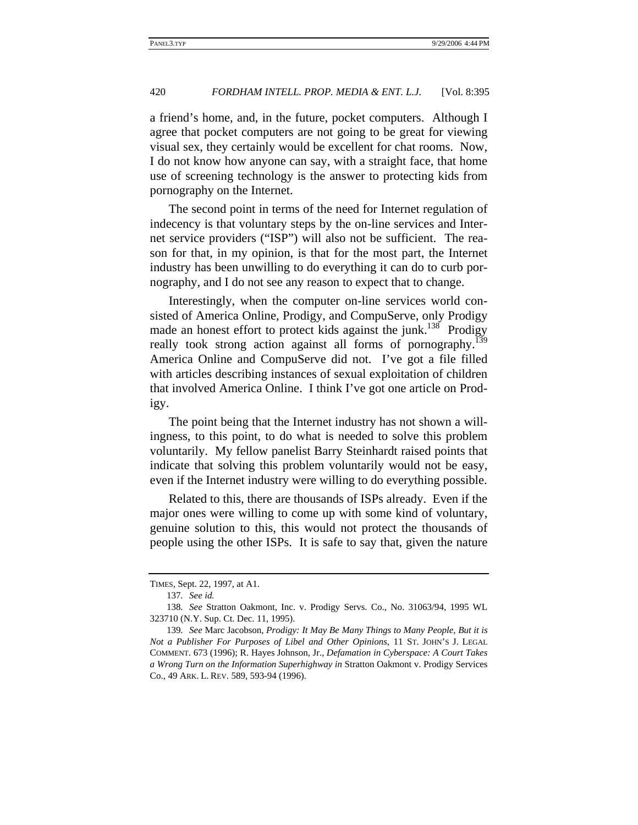a friend's home, and, in the future, pocket computers. Although I agree that pocket computers are not going to be great for viewing visual sex, they certainly would be excellent for chat rooms. Now, I do not know how anyone can say, with a straight face, that home use of screening technology is the answer to protecting kids from pornography on the Internet.

The second point in terms of the need for Internet regulation of indecency is that voluntary steps by the on-line services and Internet service providers ("ISP") will also not be sufficient. The reason for that, in my opinion, is that for the most part, the Internet industry has been unwilling to do everything it can do to curb pornography, and I do not see any reason to expect that to change.

Interestingly, when the computer on-line services world consisted of America Online, Prodigy, and CompuServe, only Prodigy made an honest effort to protect kids against the junk.<sup>138</sup> Prodigy really took strong action against all forms of pornography.<sup>139</sup> America Online and CompuServe did not. I've got a file filled with articles describing instances of sexual exploitation of children that involved America Online. I think I've got one article on Prodigy.

The point being that the Internet industry has not shown a willingness, to this point, to do what is needed to solve this problem voluntarily. My fellow panelist Barry Steinhardt raised points that indicate that solving this problem voluntarily would not be easy, even if the Internet industry were willing to do everything possible.

Related to this, there are thousands of ISPs already. Even if the major ones were willing to come up with some kind of voluntary, genuine solution to this, this would not protect the thousands of people using the other ISPs. It is safe to say that, given the nature

TIMES, Sept. 22, 1997, at A1.

<sup>137</sup>*. See id.*

<sup>138</sup>*. See* Stratton Oakmont, Inc. v. Prodigy Servs. Co., No. 31063/94, 1995 WL 323710 (N.Y. Sup. Ct. Dec. 11, 1995).

<sup>139</sup>*. See* Marc Jacobson, *Prodigy: It May Be Many Things to Many People, But it is Not a Publisher For Purposes of Libel and Other Opinions*, 11 ST. JOHN'S J. LEGAL COMMENT. 673 (1996); R. Hayes Johnson, Jr., *Defamation in Cyberspace: A Court Takes a Wrong Turn on the Information Superhighway in* Stratton Oakmont v. Prodigy Services Co., 49 ARK. L. REV. 589, 593-94 (1996).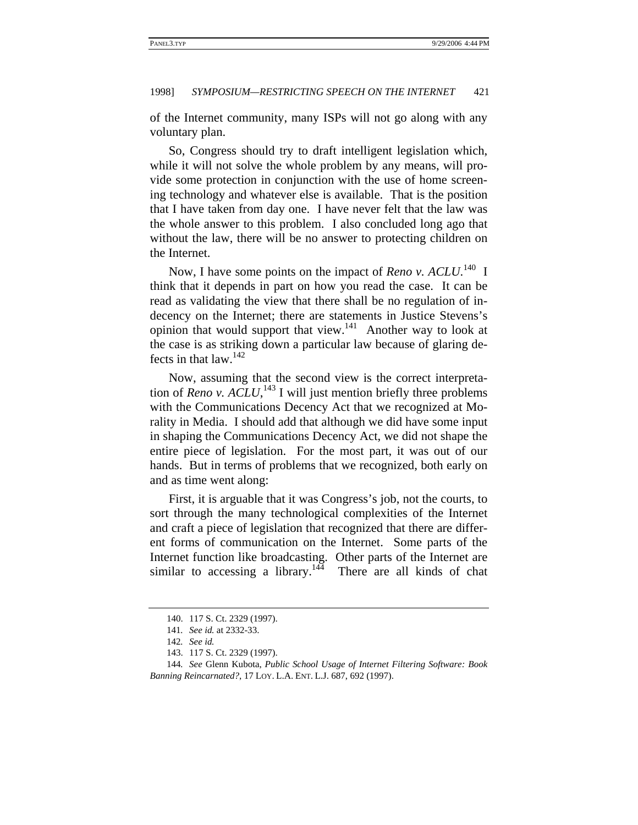of the Internet community, many ISPs will not go along with any voluntary plan.

So, Congress should try to draft intelligent legislation which, while it will not solve the whole problem by any means, will provide some protection in conjunction with the use of home screening technology and whatever else is available. That is the position that I have taken from day one. I have never felt that the law was the whole answer to this problem. I also concluded long ago that without the law, there will be no answer to protecting children on the Internet.

Now, I have some points on the impact of *Reno v. ACLU*.<sup>140</sup> I think that it depends in part on how you read the case. It can be read as validating the view that there shall be no regulation of indecency on the Internet; there are statements in Justice Stevens's opinion that would support that view.141 Another way to look at the case is as striking down a particular law because of glaring defects in that  $law.<sup>142</sup>$ 

Now, assuming that the second view is the correct interpretation of *Reno v.*  $ACLU$ , <sup>143</sup> I will just mention briefly three problems with the Communications Decency Act that we recognized at Morality in Media. I should add that although we did have some input in shaping the Communications Decency Act, we did not shape the entire piece of legislation. For the most part, it was out of our hands. But in terms of problems that we recognized, both early on and as time went along:

First, it is arguable that it was Congress's job, not the courts, to sort through the many technological complexities of the Internet and craft a piece of legislation that recognized that there are different forms of communication on the Internet. Some parts of the Internet function like broadcasting. Other parts of the Internet are similar to accessing a library.<sup>144</sup> There are all kinds of chat

<sup>140. 117</sup> S. Ct. 2329 (1997).

<sup>141</sup>*. See id.* at 2332-33.

<sup>142</sup>*. See id.*

<sup>143. 117</sup> S. Ct. 2329 (1997).

<sup>144</sup>*. See* Glenn Kubota, *Public School Usage of Internet Filtering Software: Book Banning Reincarnated?*, 17 LOY. L.A. ENT. L.J. 687, 692 (1997).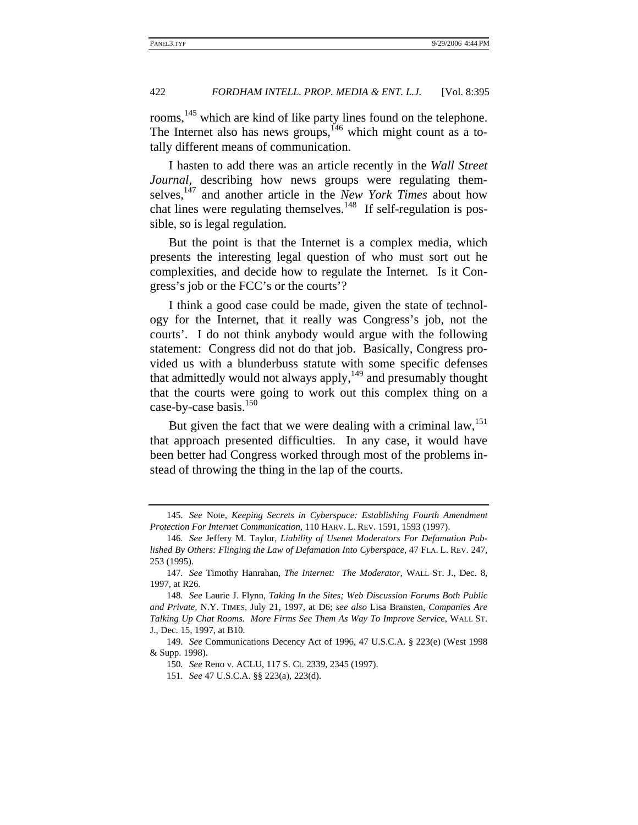rooms,<sup>145</sup> which are kind of like party lines found on the telephone. The Internet also has news groups,<sup> $146$ </sup> which might count as a totally different means of communication.

I hasten to add there was an article recently in the *Wall Street Journal*, describing how news groups were regulating themselves,<sup>147</sup> and another article in the *New York Times* about how chat lines were regulating themselves.<sup>148</sup> If self-regulation is possible, so is legal regulation.

But the point is that the Internet is a complex media, which presents the interesting legal question of who must sort out he complexities, and decide how to regulate the Internet. Is it Congress's job or the FCC's or the courts'?

I think a good case could be made, given the state of technology for the Internet, that it really was Congress's job, not the courts'. I do not think anybody would argue with the following statement: Congress did not do that job. Basically, Congress provided us with a blunderbuss statute with some specific defenses that admittedly would not always apply, $149$  and presumably thought that the courts were going to work out this complex thing on a case-by-case basis.<sup>150</sup>

But given the fact that we were dealing with a criminal  $law$ ,  $^{151}$ that approach presented difficulties. In any case, it would have been better had Congress worked through most of the problems instead of throwing the thing in the lap of the courts.

<sup>145</sup>*. See* Note, *Keeping Secrets in Cyberspace: Establishing Fourth Amendment Protection For Internet Communication*, 110 HARV. L. REV. 1591, 1593 (1997).

<sup>146</sup>*. See* Jeffery M. Taylor, *Liability of Usenet Moderators For Defamation Published By Others: Flinging the Law of Defamation Into Cyberspace*, 47 FLA. L. REV. 247, 253 (1995).

<sup>147</sup>*. See* Timothy Hanrahan, *The Internet: The Moderator*, WALL ST. J., Dec. 8, 1997, at R26.

<sup>148</sup>*. See* Laurie J. Flynn, *Taking In the Sites; Web Discussion Forums Both Public and Private*, N.Y. TIMES, July 21, 1997, at D6; *see also* Lisa Bransten, *Companies Are Talking Up Chat Rooms. More Firms See Them As Way To Improve Service*, WALL ST. J., Dec. 15, 1997, at B10.

<sup>149</sup>*. See* Communications Decency Act of 1996, 47 U.S.C.A. § 223(e) (West 1998 & Supp. 1998).

<sup>150</sup>*. See* Reno v. ACLU, 117 S. Ct. 2339, 2345 (1997).

<sup>151</sup>*. See* 47 U.S.C.A. §§ 223(a), 223(d).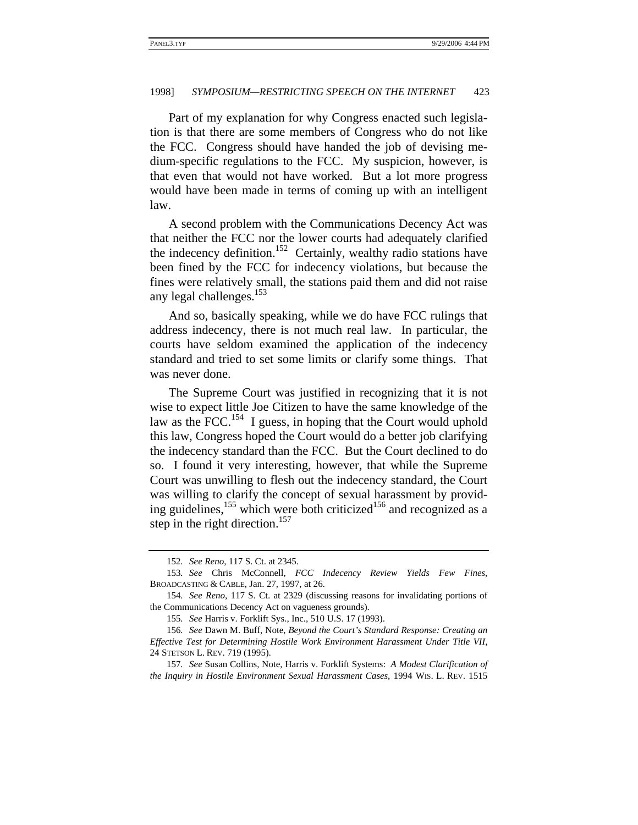Part of my explanation for why Congress enacted such legislation is that there are some members of Congress who do not like the FCC. Congress should have handed the job of devising medium-specific regulations to the FCC. My suspicion, however, is that even that would not have worked. But a lot more progress would have been made in terms of coming up with an intelligent law.

A second problem with the Communications Decency Act was that neither the FCC nor the lower courts had adequately clarified the indecency definition.<sup>152</sup> Certainly, wealthy radio stations have been fined by the FCC for indecency violations, but because the fines were relatively small, the stations paid them and did not raise any legal challenges.<sup>153</sup>

And so, basically speaking, while we do have FCC rulings that address indecency, there is not much real law. In particular, the courts have seldom examined the application of the indecency standard and tried to set some limits or clarify some things. That was never done.

The Supreme Court was justified in recognizing that it is not wise to expect little Joe Citizen to have the same knowledge of the law as the FCC.<sup>154</sup> I guess, in hoping that the Court would uphold this law, Congress hoped the Court would do a better job clarifying the indecency standard than the FCC. But the Court declined to do so. I found it very interesting, however, that while the Supreme Court was unwilling to flesh out the indecency standard, the Court was willing to clarify the concept of sexual harassment by providing guidelines, $155$  which were both criticized<sup>156</sup> and recognized as a step in the right direction.<sup>157</sup>

<sup>152</sup>*. See Reno*, 117 S. Ct. at 2345.

<sup>153</sup>*. See* Chris McConnell, *FCC Indecency Review Yields Few Fines*, BROADCASTING & CABLE, Jan. 27, 1997, at 26.

<sup>154</sup>*. See Reno*, 117 S. Ct. at 2329 (discussing reasons for invalidating portions of the Communications Decency Act on vagueness grounds).

<sup>155</sup>*. See* Harris v. Forklift Sys., Inc., 510 U.S. 17 (1993).

<sup>156</sup>*. See* Dawn M. Buff, Note, *Beyond the Court's Standard Response: Creating an Effective Test for Determining Hostile Work Environment Harassment Under Title VII*, 24 STETSON L. REV. 719 (1995).

<sup>157</sup>*. See* Susan Collins, Note, Harris v. Forklift Systems: *A Modest Clarification of the Inquiry in Hostile Environment Sexual Harassment Cases*, 1994 WIS. L. REV. 1515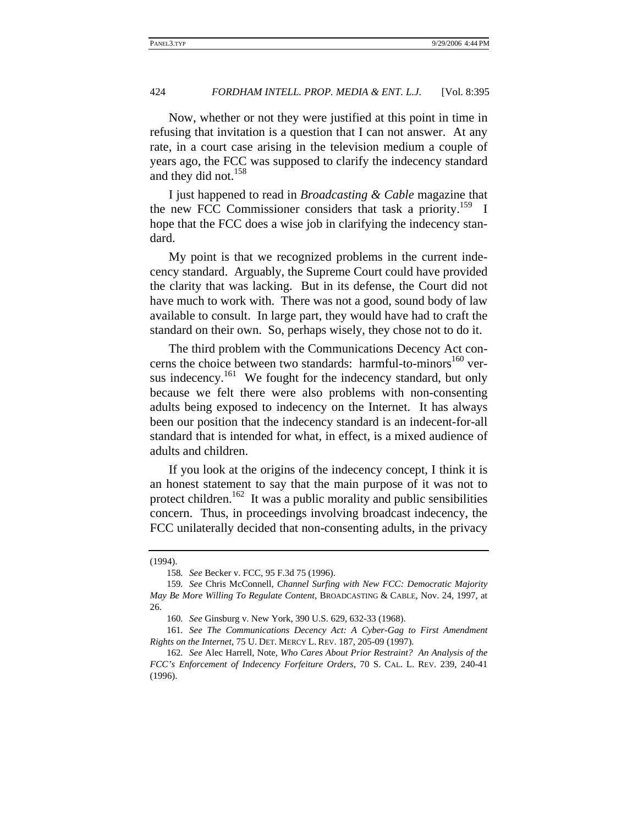Now, whether or not they were justified at this point in time in refusing that invitation is a question that I can not answer. At any rate, in a court case arising in the television medium a couple of years ago, the FCC was supposed to clarify the indecency standard and they did not.<sup>158</sup>

I just happened to read in *Broadcasting & Cable* magazine that the new FCC Commissioner considers that task a priority.<sup>159</sup> I hope that the FCC does a wise job in clarifying the indecency standard.

My point is that we recognized problems in the current indecency standard. Arguably, the Supreme Court could have provided the clarity that was lacking. But in its defense, the Court did not have much to work with. There was not a good, sound body of law available to consult. In large part, they would have had to craft the standard on their own. So, perhaps wisely, they chose not to do it.

The third problem with the Communications Decency Act concerns the choice between two standards: harmful-to-minors<sup>160</sup> versus indecency.<sup>161</sup> We fought for the indecency standard, but only because we felt there were also problems with non-consenting adults being exposed to indecency on the Internet. It has always been our position that the indecency standard is an indecent-for-all standard that is intended for what, in effect, is a mixed audience of adults and children.

If you look at the origins of the indecency concept, I think it is an honest statement to say that the main purpose of it was not to protect children.<sup>162</sup> It was a public morality and public sensibilities concern. Thus, in proceedings involving broadcast indecency, the FCC unilaterally decided that non-consenting adults, in the privacy

<sup>(1994).</sup> 

<sup>158</sup>*. See* Becker v. FCC, 95 F.3d 75 (1996).

<sup>159</sup>*. See* Chris McConnell, *Channel Surfing with New FCC: Democratic Majority May Be More Willing To Regulate Content*, BROADCASTING & CABLE, Nov. 24, 1997, at 26.

<sup>160</sup>*. See* Ginsburg v. New York, 390 U.S. 629, 632-33 (1968).

<sup>161</sup>*. See The Communications Decency Act: A Cyber-Gag to First Amendment Rights on the Internet*, 75 U. DET. MERCY L. REV. 187, 205-09 (1997).

<sup>162</sup>*. See* Alec Harrell, Note, *Who Cares About Prior Restraint? An Analysis of the FCC's Enforcement of Indecency Forfeiture Orders*, 70 S. CAL. L. REV. 239, 240-41 (1996).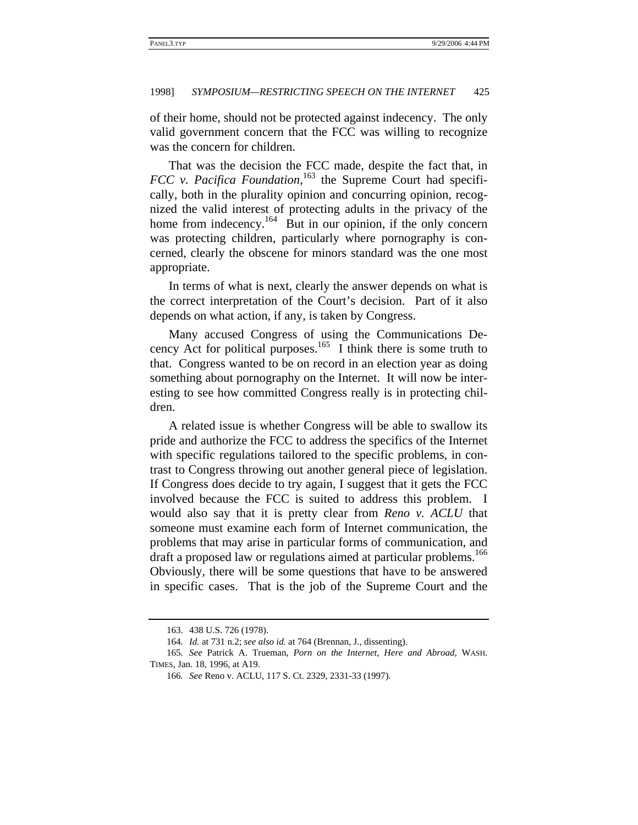of their home, should not be protected against indecency. The only valid government concern that the FCC was willing to recognize was the concern for children.

That was the decision the FCC made, despite the fact that, in *FCC v. Pacifica Foundation*, 163 the Supreme Court had specifically, both in the plurality opinion and concurring opinion, recognized the valid interest of protecting adults in the privacy of the home from indecency.<sup>164</sup> But in our opinion, if the only concern was protecting children, particularly where pornography is concerned, clearly the obscene for minors standard was the one most appropriate.

In terms of what is next, clearly the answer depends on what is the correct interpretation of the Court's decision. Part of it also depends on what action, if any, is taken by Congress.

Many accused Congress of using the Communications Decency Act for political purposes.<sup>165</sup> I think there is some truth to that. Congress wanted to be on record in an election year as doing something about pornography on the Internet. It will now be interesting to see how committed Congress really is in protecting children.

A related issue is whether Congress will be able to swallow its pride and authorize the FCC to address the specifics of the Internet with specific regulations tailored to the specific problems, in contrast to Congress throwing out another general piece of legislation. If Congress does decide to try again, I suggest that it gets the FCC involved because the FCC is suited to address this problem. I would also say that it is pretty clear from *Reno v. ACLU* that someone must examine each form of Internet communication, the problems that may arise in particular forms of communication, and draft a proposed law or regulations aimed at particular problems.<sup>166</sup> Obviously, there will be some questions that have to be answered in specific cases. That is the job of the Supreme Court and the

<sup>163. 438</sup> U.S. 726 (1978).

<sup>164</sup>*. Id.* at 731 n.2; *see also id.* at 764 (Brennan, J., dissenting).

<sup>165</sup>*. See* Patrick A. Trueman, *Porn on the Internet, Here and Abroad*, WASH. TIMES, Jan. 18, 1996, at A19.

<sup>166</sup>*. See* Reno v. ACLU, 117 S. Ct. 2329, 2331-33 (1997).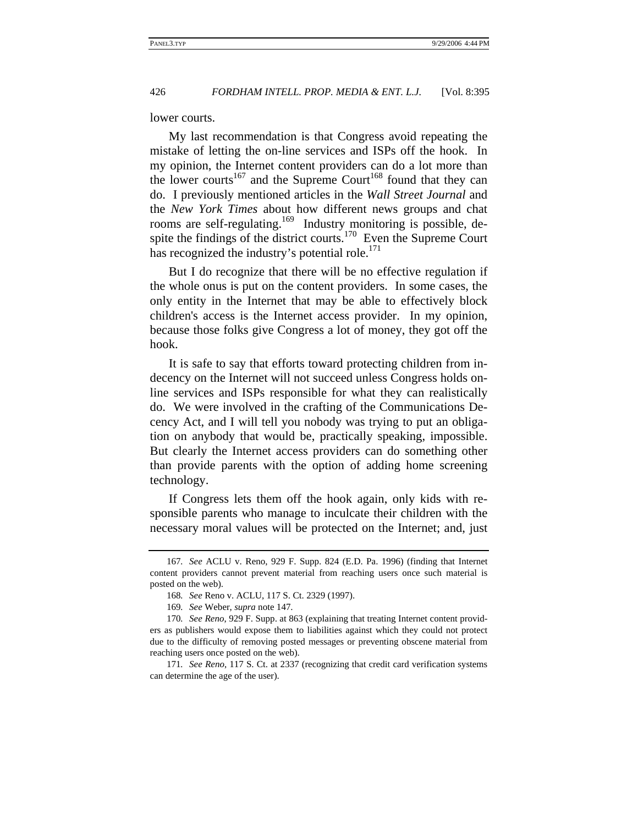lower courts.

My last recommendation is that Congress avoid repeating the mistake of letting the on-line services and ISPs off the hook. In my opinion, the Internet content providers can do a lot more than the lower courts<sup>167</sup> and the Supreme Court<sup>168</sup> found that they can do. I previously mentioned articles in the *Wall Street Journal* and the *New York Times* about how different news groups and chat rooms are self-regulating.<sup>169</sup> Industry monitoring is possible, despite the findings of the district courts.<sup>170</sup> Even the Supreme Court has recognized the industry's potential role. $^{171}$ 

But I do recognize that there will be no effective regulation if the whole onus is put on the content providers. In some cases, the only entity in the Internet that may be able to effectively block children's access is the Internet access provider. In my opinion, because those folks give Congress a lot of money, they got off the hook.

It is safe to say that efforts toward protecting children from indecency on the Internet will not succeed unless Congress holds online services and ISPs responsible for what they can realistically do. We were involved in the crafting of the Communications Decency Act, and I will tell you nobody was trying to put an obligation on anybody that would be, practically speaking, impossible. But clearly the Internet access providers can do something other than provide parents with the option of adding home screening technology.

If Congress lets them off the hook again, only kids with responsible parents who manage to inculcate their children with the necessary moral values will be protected on the Internet; and, just

<sup>167</sup>*. See* ACLU v. Reno, 929 F. Supp. 824 (E.D. Pa. 1996) (finding that Internet content providers cannot prevent material from reaching users once such material is posted on the web).

<sup>168</sup>*. See* Reno v. ACLU, 117 S. Ct. 2329 (1997).

<sup>169</sup>*. See* Weber, *supra* note 147.

<sup>170</sup>*. See Reno*, 929 F. Supp. at 863 (explaining that treating Internet content providers as publishers would expose them to liabilities against which they could not protect due to the difficulty of removing posted messages or preventing obscene material from reaching users once posted on the web).

<sup>171</sup>*. See Reno*, 117 S. Ct. at 2337 (recognizing that credit card verification systems can determine the age of the user).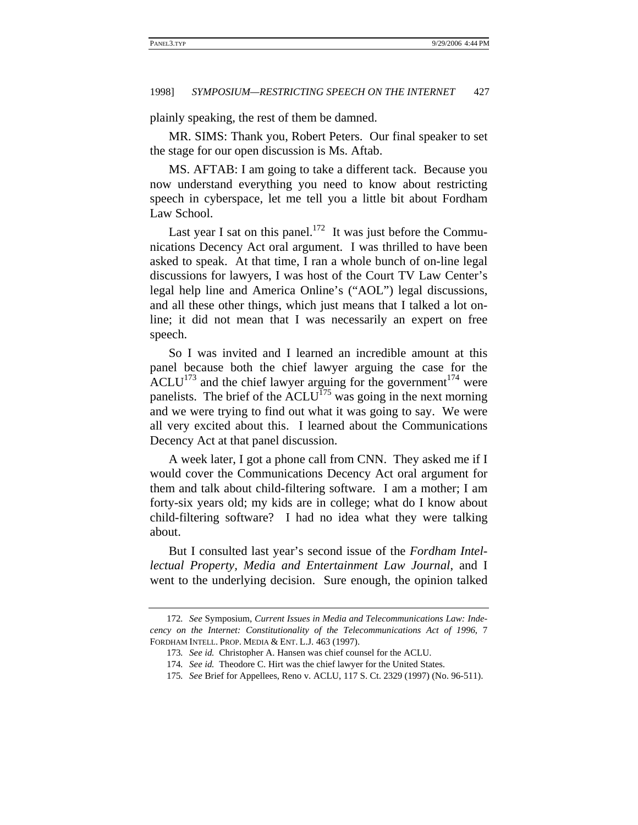plainly speaking, the rest of them be damned.

MR. SIMS: Thank you, Robert Peters. Our final speaker to set the stage for our open discussion is Ms. Aftab.

MS. AFTAB: I am going to take a different tack. Because you now understand everything you need to know about restricting speech in cyberspace, let me tell you a little bit about Fordham Law School.

Last year I sat on this panel.<sup>172</sup> It was just before the Communications Decency Act oral argument. I was thrilled to have been asked to speak. At that time, I ran a whole bunch of on-line legal discussions for lawyers, I was host of the Court TV Law Center's legal help line and America Online's ("AOL") legal discussions, and all these other things, which just means that I talked a lot online; it did not mean that I was necessarily an expert on free speech.

So I was invited and I learned an incredible amount at this panel because both the chief lawyer arguing the case for the ACLU<sup>173</sup> and the chief lawyer arguing for the government<sup>174</sup> were panelists. The brief of the  $\Lambda$ CLU<sup>175</sup> was going in the next morning and we were trying to find out what it was going to say. We were all very excited about this. I learned about the Communications Decency Act at that panel discussion.

A week later, I got a phone call from CNN. They asked me if I would cover the Communications Decency Act oral argument for them and talk about child-filtering software. I am a mother; I am forty-six years old; my kids are in college; what do I know about child-filtering software? I had no idea what they were talking about.

But I consulted last year's second issue of the *Fordham Intellectual Property, Media and Entertainment Law Journal*, and I went to the underlying decision. Sure enough, the opinion talked

<sup>172</sup>*. See* Symposium, *Current Issues in Media and Telecommunications Law: Indecency on the Internet: Constitutionality of the Telecommunications Act of 1996*, 7 FORDHAM INTELL. PROP. MEDIA & ENT. L.J. 463 (1997).

<sup>173</sup>*. See id.* Christopher A. Hansen was chief counsel for the ACLU.

<sup>174</sup>*. See id.* Theodore C. Hirt was the chief lawyer for the United States.

<sup>175</sup>*. See* Brief for Appellees, Reno v. ACLU, 117 S. Ct. 2329 (1997) (No. 96-511).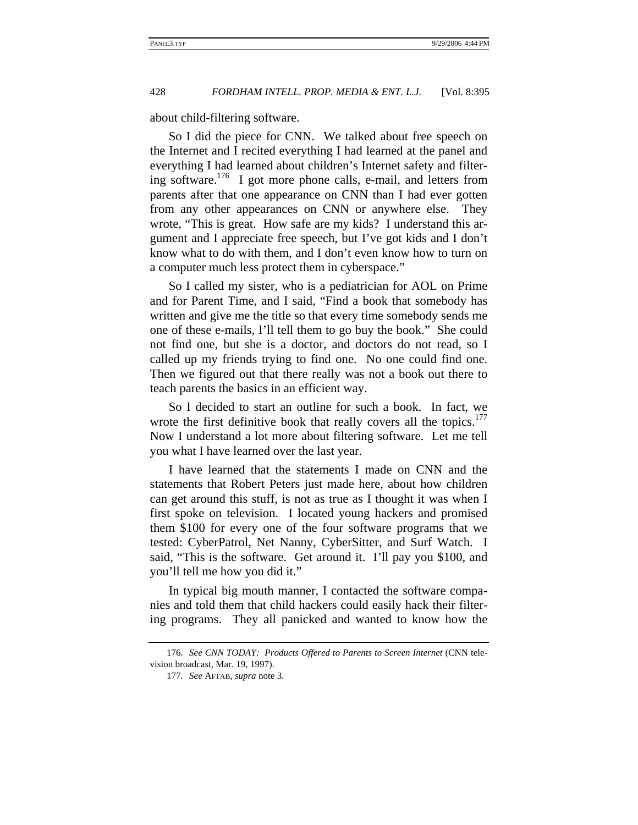about child-filtering software.

So I did the piece for CNN. We talked about free speech on the Internet and I recited everything I had learned at the panel and everything I had learned about children's Internet safety and filtering software.176 I got more phone calls, e-mail, and letters from parents after that one appearance on CNN than I had ever gotten from any other appearances on CNN or anywhere else. They wrote, "This is great. How safe are my kids? I understand this argument and I appreciate free speech, but I've got kids and I don't know what to do with them, and I don't even know how to turn on a computer much less protect them in cyberspace."

So I called my sister, who is a pediatrician for AOL on Prime and for Parent Time, and I said, "Find a book that somebody has written and give me the title so that every time somebody sends me one of these e-mails, I'll tell them to go buy the book." She could not find one, but she is a doctor, and doctors do not read, so I called up my friends trying to find one. No one could find one. Then we figured out that there really was not a book out there to teach parents the basics in an efficient way.

So I decided to start an outline for such a book. In fact, we wrote the first definitive book that really covers all the topics.<sup>177</sup> Now I understand a lot more about filtering software. Let me tell you what I have learned over the last year.

I have learned that the statements I made on CNN and the statements that Robert Peters just made here, about how children can get around this stuff, is not as true as I thought it was when I first spoke on television. I located young hackers and promised them \$100 for every one of the four software programs that we tested: CyberPatrol, Net Nanny, CyberSitter, and Surf Watch. I said, "This is the software. Get around it. I'll pay you \$100, and you'll tell me how you did it."

In typical big mouth manner, I contacted the software companies and told them that child hackers could easily hack their filtering programs. They all panicked and wanted to know how the

<sup>176.</sup> *See CNN TODAY: Products Offered to Parents to Screen Internet* (CNN television broadcast, Mar. 19, 1997).

<sup>177</sup>*. See* AFTAB, *supra* note 3.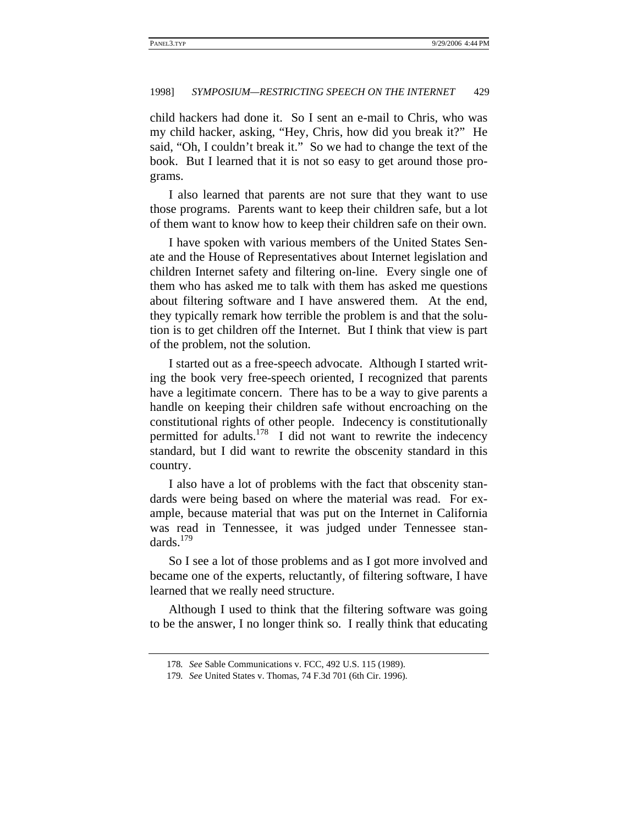child hackers had done it. So I sent an e-mail to Chris, who was my child hacker, asking, "Hey, Chris, how did you break it?" He said, "Oh, I couldn't break it." So we had to change the text of the book. But I learned that it is not so easy to get around those programs.

I also learned that parents are not sure that they want to use those programs. Parents want to keep their children safe, but a lot of them want to know how to keep their children safe on their own.

I have spoken with various members of the United States Senate and the House of Representatives about Internet legislation and children Internet safety and filtering on-line. Every single one of them who has asked me to talk with them has asked me questions about filtering software and I have answered them. At the end, they typically remark how terrible the problem is and that the solution is to get children off the Internet. But I think that view is part of the problem, not the solution.

I started out as a free-speech advocate. Although I started writing the book very free-speech oriented, I recognized that parents have a legitimate concern. There has to be a way to give parents a handle on keeping their children safe without encroaching on the constitutional rights of other people. Indecency is constitutionally permitted for adults.<sup>178</sup> I did not want to rewrite the indecency standard, but I did want to rewrite the obscenity standard in this country.

I also have a lot of problems with the fact that obscenity standards were being based on where the material was read. For example, because material that was put on the Internet in California was read in Tennessee, it was judged under Tennessee standards.<sup>179</sup>

So I see a lot of those problems and as I got more involved and became one of the experts, reluctantly, of filtering software, I have learned that we really need structure.

Although I used to think that the filtering software was going to be the answer, I no longer think so. I really think that educating

<sup>178</sup>*. See* Sable Communications v. FCC, 492 U.S. 115 (1989).

<sup>179</sup>*. See* United States v. Thomas, 74 F.3d 701 (6th Cir. 1996).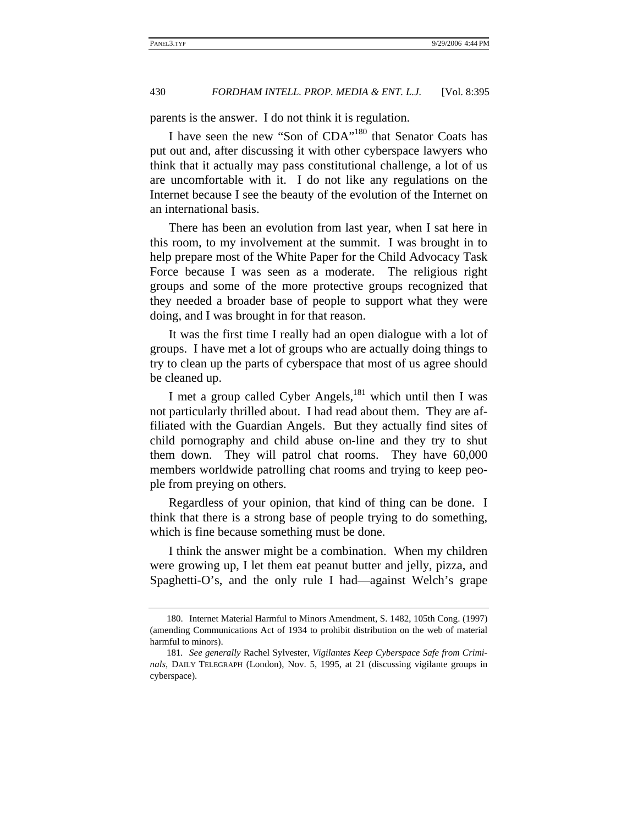parents is the answer. I do not think it is regulation.

I have seen the new "Son of CDA"180 that Senator Coats has put out and, after discussing it with other cyberspace lawyers who think that it actually may pass constitutional challenge, a lot of us are uncomfortable with it. I do not like any regulations on the Internet because I see the beauty of the evolution of the Internet on an international basis.

There has been an evolution from last year, when I sat here in this room, to my involvement at the summit. I was brought in to help prepare most of the White Paper for the Child Advocacy Task Force because I was seen as a moderate. The religious right groups and some of the more protective groups recognized that they needed a broader base of people to support what they were doing, and I was brought in for that reason.

It was the first time I really had an open dialogue with a lot of groups. I have met a lot of groups who are actually doing things to try to clean up the parts of cyberspace that most of us agree should be cleaned up.

I met a group called Cyber Angels, $^{181}$  which until then I was not particularly thrilled about. I had read about them. They are affiliated with the Guardian Angels. But they actually find sites of child pornography and child abuse on-line and they try to shut them down. They will patrol chat rooms. They have 60,000 members worldwide patrolling chat rooms and trying to keep people from preying on others.

Regardless of your opinion, that kind of thing can be done. I think that there is a strong base of people trying to do something, which is fine because something must be done.

I think the answer might be a combination. When my children were growing up, I let them eat peanut butter and jelly, pizza, and Spaghetti-O's, and the only rule I had—against Welch's grape

<sup>180.</sup> Internet Material Harmful to Minors Amendment, S. 1482, 105th Cong. (1997) (amending Communications Act of 1934 to prohibit distribution on the web of material harmful to minors).

<sup>181</sup>*. See generally* Rachel Sylvester, *Vigilantes Keep Cyberspace Safe from Criminals*, DAILY TELEGRAPH (London), Nov. 5, 1995, at 21 (discussing vigilante groups in cyberspace).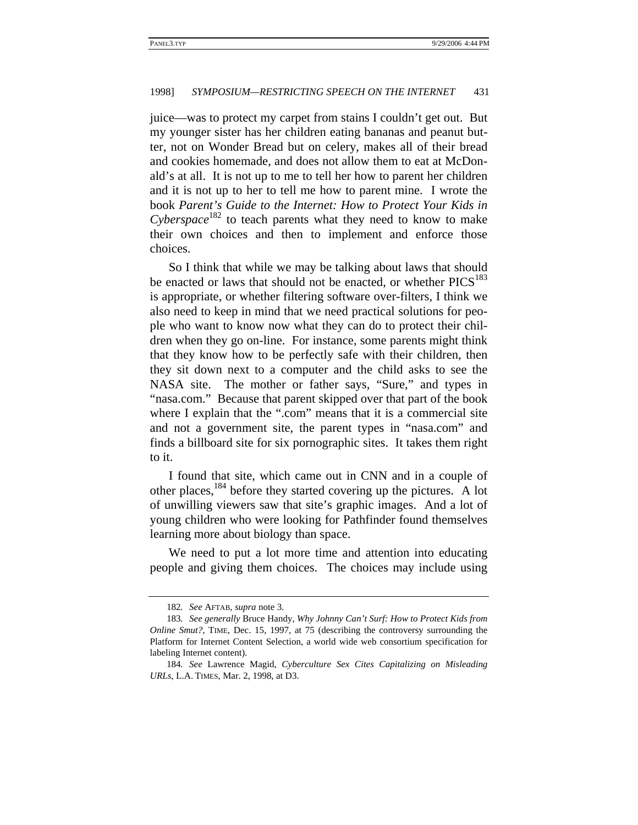juice—was to protect my carpet from stains I couldn't get out. But my younger sister has her children eating bananas and peanut butter, not on Wonder Bread but on celery, makes all of their bread and cookies homemade, and does not allow them to eat at McDonald's at all. It is not up to me to tell her how to parent her children and it is not up to her to tell me how to parent mine. I wrote the book *Parent's Guide to the Internet: How to Protect Your Kids in Cyberspace*<sup>182</sup> to teach parents what they need to know to make their own choices and then to implement and enforce those choices.

So I think that while we may be talking about laws that should be enacted or laws that should not be enacted, or whether  $PICS<sup>183</sup>$ is appropriate, or whether filtering software over-filters, I think we also need to keep in mind that we need practical solutions for people who want to know now what they can do to protect their children when they go on-line. For instance, some parents might think that they know how to be perfectly safe with their children, then they sit down next to a computer and the child asks to see the NASA site. The mother or father says, "Sure," and types in "nasa.com." Because that parent skipped over that part of the book where I explain that the ".com" means that it is a commercial site and not a government site, the parent types in "nasa.com" and finds a billboard site for six pornographic sites. It takes them right to it.

I found that site, which came out in CNN and in a couple of other places,  $184$  before they started covering up the pictures. A lot of unwilling viewers saw that site's graphic images. And a lot of young children who were looking for Pathfinder found themselves learning more about biology than space.

We need to put a lot more time and attention into educating people and giving them choices. The choices may include using

<sup>182</sup>*. See* AFTAB, *supra* note 3.

<sup>183</sup>*. See generally* Bruce Handy, *Why Johnny Can't Surf: How to Protect Kids from Online Smut?*, TIME, Dec. 15, 1997, at 75 (describing the controversy surrounding the Platform for Internet Content Selection, a world wide web consortium specification for labeling Internet content).

<sup>184</sup>*. See* Lawrence Magid, *Cyberculture Sex Cites Capitalizing on Misleading URLs*, L.A. TIMES, Mar. 2, 1998, at D3.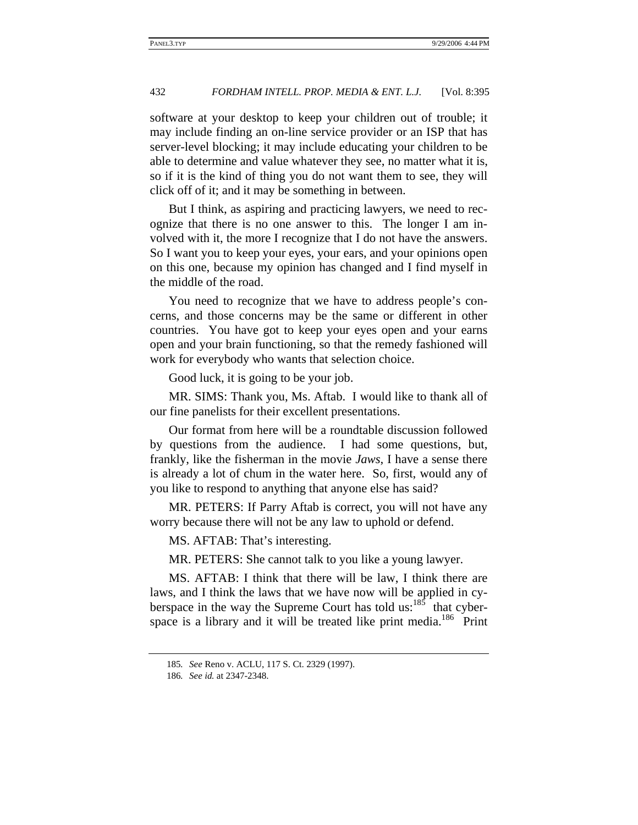software at your desktop to keep your children out of trouble; it may include finding an on-line service provider or an ISP that has server-level blocking; it may include educating your children to be able to determine and value whatever they see, no matter what it is, so if it is the kind of thing you do not want them to see, they will click off of it; and it may be something in between.

But I think, as aspiring and practicing lawyers, we need to recognize that there is no one answer to this. The longer I am involved with it, the more I recognize that I do not have the answers. So I want you to keep your eyes, your ears, and your opinions open on this one, because my opinion has changed and I find myself in the middle of the road.

You need to recognize that we have to address people's concerns, and those concerns may be the same or different in other countries. You have got to keep your eyes open and your earns open and your brain functioning, so that the remedy fashioned will work for everybody who wants that selection choice.

Good luck, it is going to be your job.

MR. SIMS: Thank you, Ms. Aftab. I would like to thank all of our fine panelists for their excellent presentations.

Our format from here will be a roundtable discussion followed by questions from the audience. I had some questions, but, frankly, like the fisherman in the movie *Jaws*, I have a sense there is already a lot of chum in the water here. So, first, would any of you like to respond to anything that anyone else has said?

MR. PETERS: If Parry Aftab is correct, you will not have any worry because there will not be any law to uphold or defend.

MS. AFTAB: That's interesting.

MR. PETERS: She cannot talk to you like a young lawyer.

MS. AFTAB: I think that there will be law, I think there are laws, and I think the laws that we have now will be applied in cyberspace in the way the Supreme Court has told us:<sup>185</sup> that cyberspace is a library and it will be treated like print media.<sup>186</sup> Print

<sup>185</sup>*. See* Reno v. ACLU, 117 S. Ct. 2329 (1997).

<sup>186</sup>*. See id.* at 2347-2348.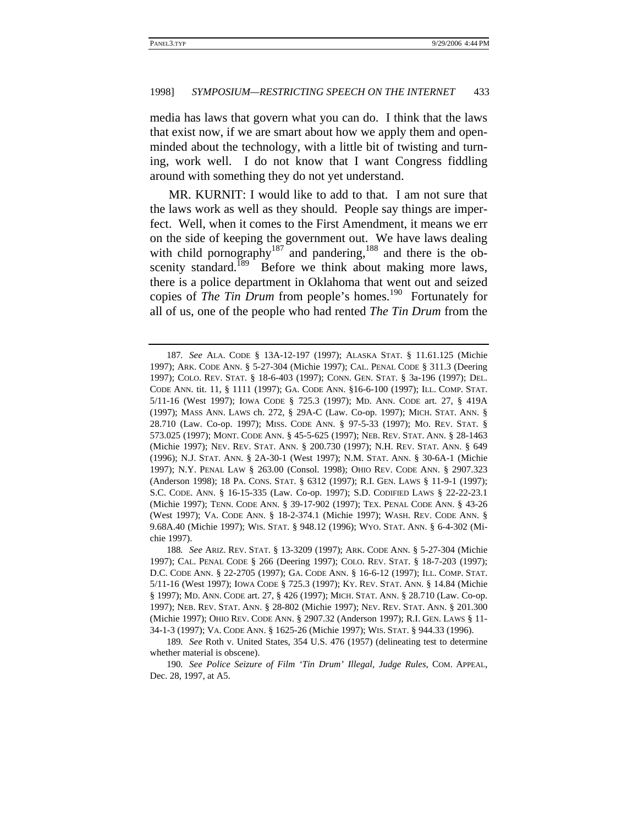media has laws that govern what you can do. I think that the laws that exist now, if we are smart about how we apply them and openminded about the technology, with a little bit of twisting and turning, work well. I do not know that I want Congress fiddling around with something they do not yet understand.

MR. KURNIT: I would like to add to that. I am not sure that the laws work as well as they should. People say things are imperfect. Well, when it comes to the First Amendment, it means we err on the side of keeping the government out. We have laws dealing with child pornography<sup>187</sup> and pandering,<sup>188</sup> and there is the obscenity standard.<sup>189</sup> Before we think about making more laws, there is a police department in Oklahoma that went out and seized copies of *The Tin Drum* from people's homes.<sup>190</sup> Fortunately for all of us, one of the people who had rented *The Tin Drum* from the

<sup>187</sup>*. See* ALA. CODE § 13A-12-197 (1997); ALASKA STAT. § 11.61.125 (Michie 1997); ARK. CODE ANN. § 5-27-304 (Michie 1997); CAL. PENAL CODE § 311.3 (Deering 1997); COLO. REV. STAT. § 18-6-403 (1997); CONN. GEN. STAT. § 3a-196 (1997); DEL. CODE ANN. tit. 11, § 1111 (1997); GA. CODE ANN. §16-6-100 (1997); ILL. COMP. STAT. 5/11-16 (West 1997); IOWA CODE § 725.3 (1997); MD. ANN. CODE art. 27, § 419A (1997); MASS ANN. LAWS ch. 272, § 29A-C (Law. Co-op. 1997); MICH. STAT. ANN. § 28.710 (Law. Co-op. 1997); MISS. CODE ANN. § 97-5-33 (1997); MO. REV. STAT. § 573.025 (1997); MONT. CODE ANN. § 45-5-625 (1997); NEB. REV. STAT. ANN. § 28-1463 (Michie 1997); NEV. REV. STAT. ANN. § 200.730 (1997); N.H. REV. STAT. ANN. § 649 (1996); N.J. STAT. ANN. § 2A-30-1 (West 1997); N.M. STAT. ANN. § 30-6A-1 (Michie 1997); N.Y. PENAL LAW § 263.00 (Consol. 1998); OHIO REV. CODE ANN. § 2907.323 (Anderson 1998); 18 PA. CONS. STAT. § 6312 (1997); R.I. GEN. LAWS § 11-9-1 (1997); S.C. CODE. ANN. § 16-15-335 (Law. Co-op. 1997); S.D. CODIFIED LAWS § 22-22-23.1 (Michie 1997); TENN. CODE ANN. § 39-17-902 (1997); TEX. PENAL CODE ANN. § 43-26 (West 1997); VA. CODE ANN. § 18-2-374.1 (Michie 1997); WASH. REV. CODE ANN. § 9.68A.40 (Michie 1997); WIS. STAT. § 948.12 (1996); WYO. STAT. ANN. § 6-4-302 (Michie 1997).

<sup>188</sup>*. See* ARIZ. REV. STAT. § 13-3209 (1997); ARK. CODE ANN. § 5-27-304 (Michie 1997); CAL. PENAL CODE § 266 (Deering 1997); COLO. REV. STAT. § 18-7-203 (1997); D.C. CODE ANN. § 22-2705 (1997); GA. CODE ANN. § 16-6-12 (1997); ILL. COMP. STAT. 5/11-16 (West 1997); IOWA CODE § 725.3 (1997); KY. REV. STAT. ANN. § 14.84 (Michie § 1997); MD. ANN. CODE art. 27, § 426 (1997); MICH. STAT. ANN. § 28.710 (Law. Co-op. 1997); NEB. REV. STAT. ANN. § 28-802 (Michie 1997); NEV. REV. STAT. ANN. § 201.300 (Michie 1997); OHIO REV. CODE ANN. § 2907.32 (Anderson 1997); R.I. GEN. LAWS § 11- 34-1-3 (1997); VA. CODE ANN. § 1625-26 (Michie 1997); WIS. STAT. § 944.33 (1996).

<sup>189</sup>*. See* Roth v. United States, 354 U.S. 476 (1957) (delineating test to determine whether material is obscene).

<sup>190</sup>*. See Police Seizure of Film 'Tin Drum' Illegal, Judge Rules*, COM. APPEAL, Dec. 28, 1997, at A5.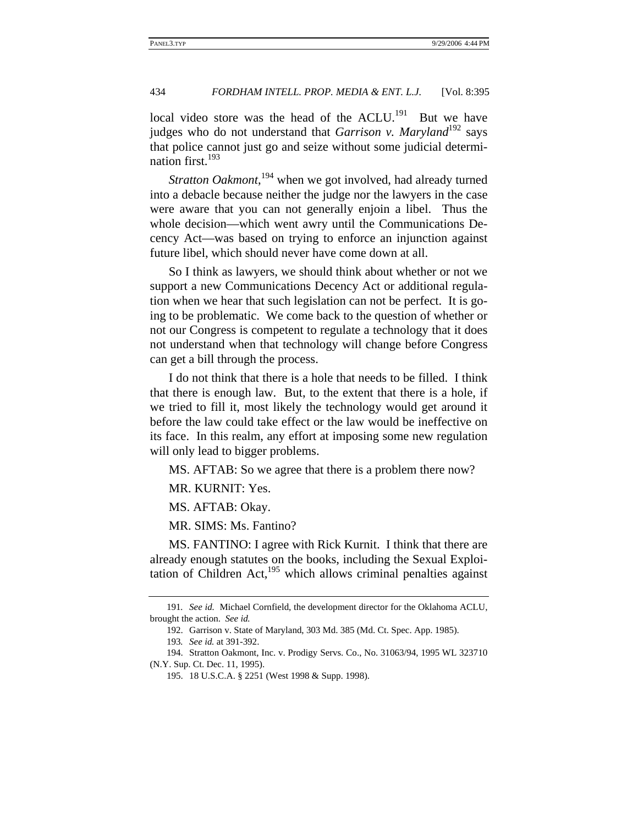local video store was the head of the ACLU.<sup>191</sup> But we have judges who do not understand that *Garrison v. Maryland*<sup>192</sup> says that police cannot just go and seize without some judicial determination first.<sup>193</sup>

*Stratton Oakmont*, 194 when we got involved, had already turned into a debacle because neither the judge nor the lawyers in the case were aware that you can not generally enjoin a libel. Thus the whole decision—which went awry until the Communications Decency Act—was based on trying to enforce an injunction against future libel, which should never have come down at all.

So I think as lawyers, we should think about whether or not we support a new Communications Decency Act or additional regulation when we hear that such legislation can not be perfect. It is going to be problematic. We come back to the question of whether or not our Congress is competent to regulate a technology that it does not understand when that technology will change before Congress can get a bill through the process.

I do not think that there is a hole that needs to be filled. I think that there is enough law. But, to the extent that there is a hole, if we tried to fill it, most likely the technology would get around it before the law could take effect or the law would be ineffective on its face. In this realm, any effort at imposing some new regulation will only lead to bigger problems.

MS. AFTAB: So we agree that there is a problem there now?

MR. KURNIT: Yes.

MS. AFTAB: Okay.

MR. SIMS: Ms. Fantino?

MS. FANTINO: I agree with Rick Kurnit. I think that there are already enough statutes on the books, including the Sexual Exploitation of Children Act, $195$  which allows criminal penalties against

<sup>191</sup>*. See id.* Michael Cornfield, the development director for the Oklahoma ACLU, brought the action. *See id.*

<sup>192.</sup> Garrison v. State of Maryland, 303 Md. 385 (Md. Ct. Spec. App. 1985).

<sup>193</sup>*. See id.* at 391-392.

<sup>194.</sup> Stratton Oakmont, Inc. v. Prodigy Servs. Co., No. 31063/94, 1995 WL 323710 (N.Y. Sup. Ct. Dec. 11, 1995).

<sup>195. 18</sup> U.S.C.A. § 2251 (West 1998 & Supp. 1998).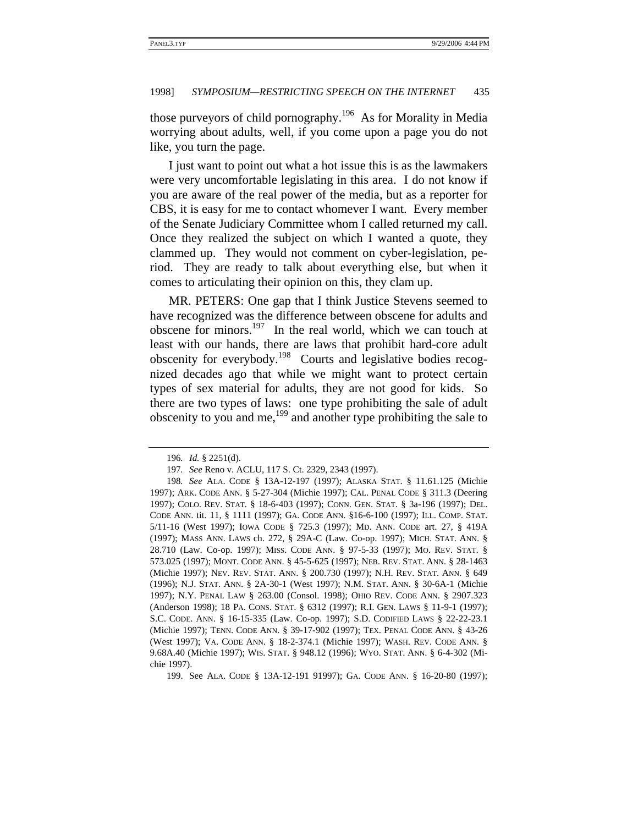those purveyors of child pornography.196 As for Morality in Media worrying about adults, well, if you come upon a page you do not like, you turn the page.

I just want to point out what a hot issue this is as the lawmakers were very uncomfortable legislating in this area. I do not know if you are aware of the real power of the media, but as a reporter for CBS, it is easy for me to contact whomever I want. Every member of the Senate Judiciary Committee whom I called returned my call. Once they realized the subject on which I wanted a quote, they clammed up. They would not comment on cyber-legislation, period. They are ready to talk about everything else, but when it comes to articulating their opinion on this, they clam up.

MR. PETERS: One gap that I think Justice Stevens seemed to have recognized was the difference between obscene for adults and obscene for minors.197 In the real world, which we can touch at least with our hands, there are laws that prohibit hard-core adult obscenity for everybody.198 Courts and legislative bodies recognized decades ago that while we might want to protect certain types of sex material for adults, they are not good for kids. So there are two types of laws: one type prohibiting the sale of adult obscenity to you and me,199 and another type prohibiting the sale to

199. See ALA. CODE § 13A-12-191 91997); GA. CODE ANN. § 16-20-80 (1997);

<sup>196</sup>*. Id.* § 2251(d).

<sup>197</sup>*. See* Reno v. ACLU, 117 S. Ct. 2329, 2343 (1997).

<sup>198</sup>*. See* ALA. CODE § 13A-12-197 (1997); ALASKA STAT. § 11.61.125 (Michie 1997); ARK. CODE ANN. § 5-27-304 (Michie 1997); CAL. PENAL CODE § 311.3 (Deering 1997); COLO. REV. STAT. § 18-6-403 (1997); CONN. GEN. STAT. § 3a-196 (1997); DEL. CODE ANN. tit. 11, § 1111 (1997); GA. CODE ANN. §16-6-100 (1997); ILL. COMP. STAT. 5/11-16 (West 1997); IOWA CODE § 725.3 (1997); MD. ANN. CODE art. 27, § 419A (1997); MASS ANN. LAWS ch. 272, § 29A-C (Law. Co-op. 1997); MICH. STAT. ANN. § 28.710 (Law. Co-op. 1997); MISS. CODE ANN. § 97-5-33 (1997); MO. REV. STAT. § 573.025 (1997); MONT. CODE ANN. § 45-5-625 (1997); NEB. REV. STAT. ANN. § 28-1463 (Michie 1997); NEV. REV. STAT. ANN. § 200.730 (1997); N.H. REV. STAT. ANN. § 649 (1996); N.J. STAT. ANN. § 2A-30-1 (West 1997); N.M. STAT. ANN. § 30-6A-1 (Michie 1997); N.Y. PENAL LAW § 263.00 (Consol. 1998); OHIO REV. CODE ANN. § 2907.323 (Anderson 1998); 18 PA. CONS. STAT. § 6312 (1997); R.I. GEN. LAWS § 11-9-1 (1997); S.C. CODE. ANN. § 16-15-335 (Law. Co-op. 1997); S.D. CODIFIED LAWS § 22-22-23.1 (Michie 1997); TENN. CODE ANN. § 39-17-902 (1997); TEX. PENAL CODE ANN. § 43-26 (West 1997); VA. CODE ANN. § 18-2-374.1 (Michie 1997); WASH. REV. CODE ANN. § 9.68A.40 (Michie 1997); WIS. STAT. § 948.12 (1996); WYO. STAT. ANN. § 6-4-302 (Michie 1997).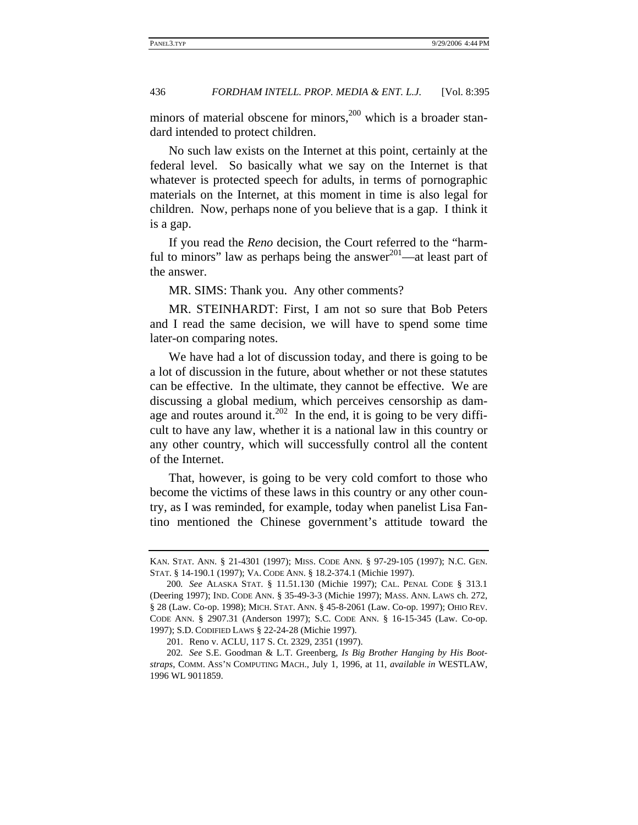minors of material obscene for minors,<sup>200</sup> which is a broader standard intended to protect children.

No such law exists on the Internet at this point, certainly at the federal level. So basically what we say on the Internet is that whatever is protected speech for adults, in terms of pornographic materials on the Internet, at this moment in time is also legal for children. Now, perhaps none of you believe that is a gap. I think it is a gap.

If you read the *Reno* decision, the Court referred to the "harmful to minors" law as perhaps being the answer $^{201}$ —at least part of the answer.

MR. SIMS: Thank you. Any other comments?

MR. STEINHARDT: First, I am not so sure that Bob Peters and I read the same decision, we will have to spend some time later-on comparing notes.

We have had a lot of discussion today, and there is going to be a lot of discussion in the future, about whether or not these statutes can be effective. In the ultimate, they cannot be effective. We are discussing a global medium, which perceives censorship as damage and routes around it.<sup>202</sup> In the end, it is going to be very difficult to have any law, whether it is a national law in this country or any other country, which will successfully control all the content of the Internet.

That, however, is going to be very cold comfort to those who become the victims of these laws in this country or any other country, as I was reminded, for example, today when panelist Lisa Fantino mentioned the Chinese government's attitude toward the

KAN. STAT. ANN. § 21-4301 (1997); MISS. CODE ANN. § 97-29-105 (1997); N.C. GEN. STAT. § 14-190.1 (1997); VA. CODE ANN. § 18.2-374.1 (Michie 1997).

<sup>200</sup>*. See* ALASKA STAT. § 11.51.130 (Michie 1997); CAL. PENAL CODE § 313.1 (Deering 1997); IND. CODE ANN. § 35-49-3-3 (Michie 1997); MASS. ANN. LAWS ch. 272, § 28 (Law. Co-op. 1998); MICH. STAT. ANN. § 45-8-2061 (Law. Co-op. 1997); OHIO REV. CODE ANN. § 2907.31 (Anderson 1997); S.C. CODE ANN. § 16-15-345 (Law. Co-op. 1997); S.D. CODIFIED LAWS § 22-24-28 (Michie 1997).

<sup>201.</sup> Reno v. ACLU, 117 S. Ct. 2329, 2351 (1997).

<sup>202</sup>*. See* S.E. Goodman & L.T. Greenberg, *Is Big Brother Hanging by His Bootstraps*, COMM. ASS'N COMPUTING MACH., July 1, 1996, at 11, *available in* WESTLAW, 1996 WL 9011859.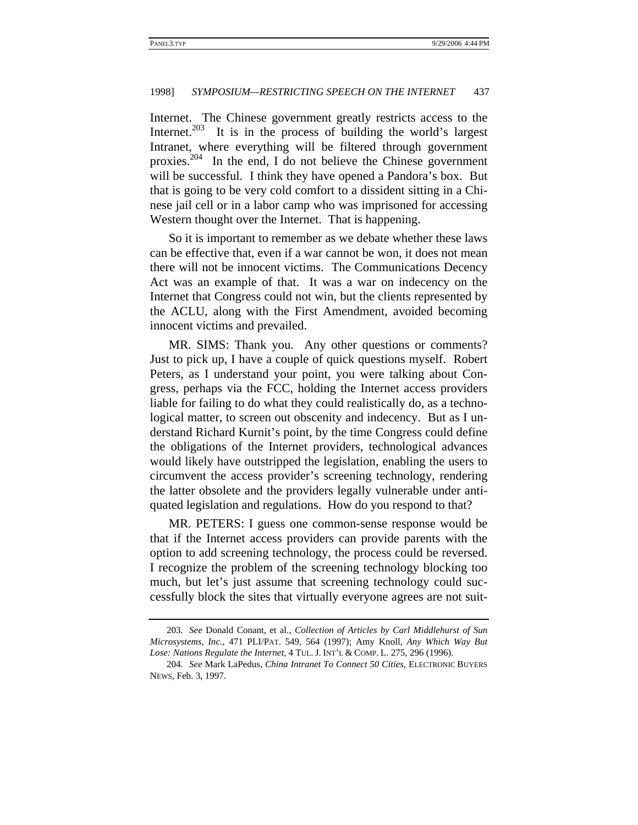Internet. The Chinese government greatly restricts access to the Internet. $203$  It is in the process of building the world's largest Intranet, where everything will be filtered through government proxies.204 In the end, I do not believe the Chinese government will be successful. I think they have opened a Pandora's box. But that is going to be very cold comfort to a dissident sitting in a Chinese jail cell or in a labor camp who was imprisoned for accessing Western thought over the Internet. That is happening.

So it is important to remember as we debate whether these laws can be effective that, even if a war cannot be won, it does not mean there will not be innocent victims. The Communications Decency Act was an example of that. It was a war on indecency on the Internet that Congress could not win, but the clients represented by the ACLU, along with the First Amendment, avoided becoming innocent victims and prevailed.

MR. SIMS: Thank you. Any other questions or comments? Just to pick up, I have a couple of quick questions myself. Robert Peters, as I understand your point, you were talking about Congress, perhaps via the FCC, holding the Internet access providers liable for failing to do what they could realistically do, as a technological matter, to screen out obscenity and indecency. But as I understand Richard Kurnit's point, by the time Congress could define the obligations of the Internet providers, technological advances would likely have outstripped the legislation, enabling the users to circumvent the access provider's screening technology, rendering the latter obsolete and the providers legally vulnerable under antiquated legislation and regulations. How do you respond to that?

MR. PETERS: I guess one common-sense response would be that if the Internet access providers can provide parents with the option to add screening technology, the process could be reversed. I recognize the problem of the screening technology blocking too much, but let's just assume that screening technology could successfully block the sites that virtually everyone agrees are not suit-

<sup>203</sup>*. See* Donald Conant, et al., *Collection of Articles by Carl Middlehurst of Sun Microsystems, Inc.*, 471 PLI/PAT. 549, 564 (1997); Amy Knoll, *Any Which Way But Lose: Nations Regulate the Internet*, 4 TUL. J. INT'L & COMP. L. 275, 296 (1996).

<sup>204</sup>*. See* Mark LaPedus, *China Intranet To Connect 50 Cities*, ELECTRONIC BUYERS NEWS, Feb. 3, 1997.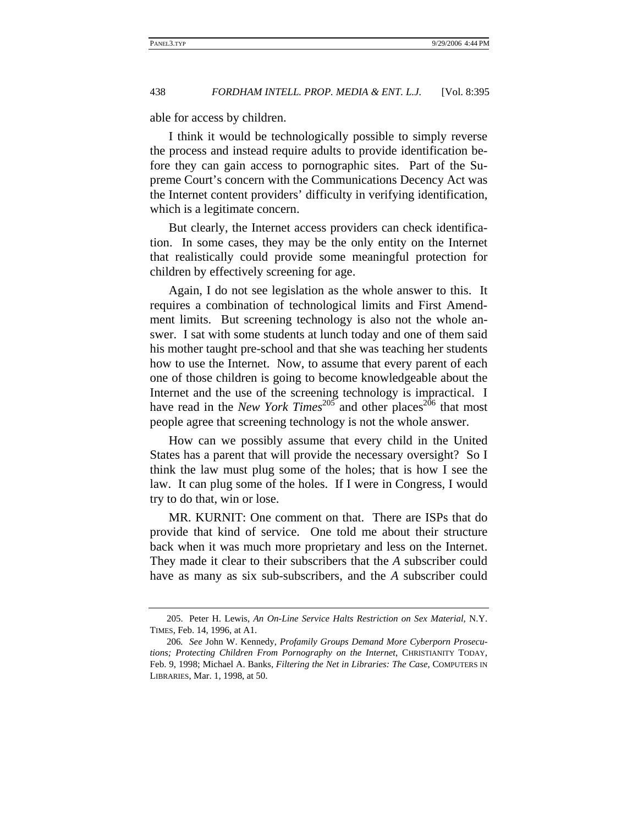able for access by children.

I think it would be technologically possible to simply reverse the process and instead require adults to provide identification before they can gain access to pornographic sites. Part of the Supreme Court's concern with the Communications Decency Act was the Internet content providers' difficulty in verifying identification, which is a legitimate concern.

But clearly, the Internet access providers can check identification. In some cases, they may be the only entity on the Internet that realistically could provide some meaningful protection for children by effectively screening for age.

Again, I do not see legislation as the whole answer to this. It requires a combination of technological limits and First Amendment limits. But screening technology is also not the whole answer. I sat with some students at lunch today and one of them said his mother taught pre-school and that she was teaching her students how to use the Internet. Now, to assume that every parent of each one of those children is going to become knowledgeable about the Internet and the use of the screening technology is impractical. I have read in the *New York Times*<sup>205</sup> and other places<sup>206</sup> that most people agree that screening technology is not the whole answer.

How can we possibly assume that every child in the United States has a parent that will provide the necessary oversight? So I think the law must plug some of the holes; that is how I see the law. It can plug some of the holes. If I were in Congress, I would try to do that, win or lose.

MR. KURNIT: One comment on that. There are ISPs that do provide that kind of service. One told me about their structure back when it was much more proprietary and less on the Internet. They made it clear to their subscribers that the *A* subscriber could have as many as six sub-subscribers, and the *A* subscriber could

<sup>205.</sup> Peter H. Lewis, *An On-Line Service Halts Restriction on Sex Material*, N.Y. TIMES, Feb. 14, 1996, at A1.

<sup>206</sup>*. See* John W. Kennedy, *Profamily Groups Demand More Cyberporn Prosecutions; Protecting Children From Pornography on the Internet*, CHRISTIANITY TODAY, Feb. 9, 1998; Michael A. Banks, *Filtering the Net in Libraries: The Case*, COMPUTERS IN LIBRARIES, Mar. 1, 1998, at 50.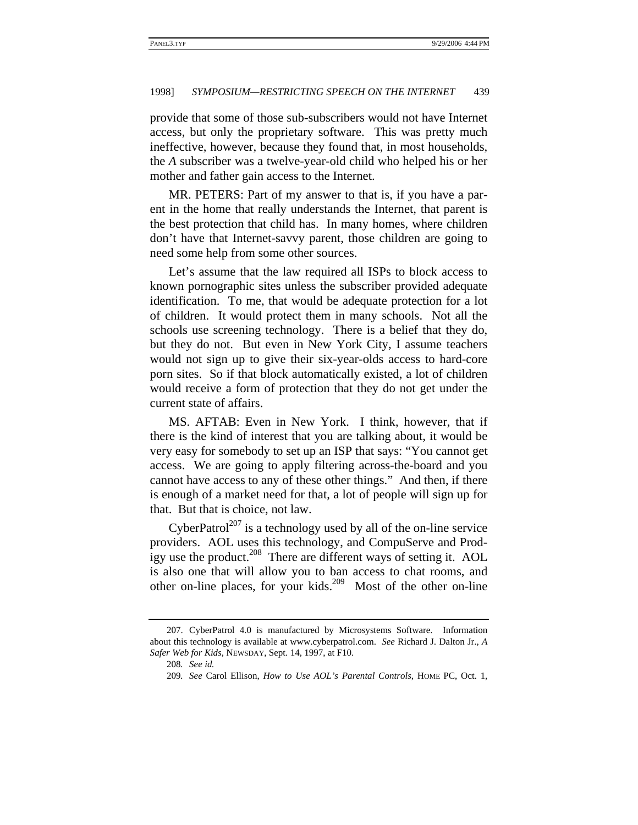provide that some of those sub-subscribers would not have Internet access, but only the proprietary software. This was pretty much ineffective, however, because they found that, in most households, the *A* subscriber was a twelve-year-old child who helped his or her mother and father gain access to the Internet.

MR. PETERS: Part of my answer to that is, if you have a parent in the home that really understands the Internet, that parent is the best protection that child has. In many homes, where children don't have that Internet-savvy parent, those children are going to need some help from some other sources.

Let's assume that the law required all ISPs to block access to known pornographic sites unless the subscriber provided adequate identification. To me, that would be adequate protection for a lot of children. It would protect them in many schools. Not all the schools use screening technology. There is a belief that they do, but they do not. But even in New York City, I assume teachers would not sign up to give their six-year-olds access to hard-core porn sites. So if that block automatically existed, a lot of children would receive a form of protection that they do not get under the current state of affairs.

MS. AFTAB: Even in New York. I think, however, that if there is the kind of interest that you are talking about, it would be very easy for somebody to set up an ISP that says: "You cannot get access. We are going to apply filtering across-the-board and you cannot have access to any of these other things." And then, if there is enough of a market need for that, a lot of people will sign up for that. But that is choice, not law.

CyberPatrol<sup>207</sup> is a technology used by all of the on-line service providers. AOL uses this technology, and CompuServe and Prodigy use the product.<sup>208</sup> There are different ways of setting it. AOL is also one that will allow you to ban access to chat rooms, and other on-line places, for your kids.<sup>209</sup> Most of the other on-line

<sup>207.</sup> CyberPatrol 4.0 is manufactured by Microsystems Software. Information about this technology is available at www.cyberpatrol.com. *See* Richard J. Dalton Jr., *A Safer Web for Kids*, NEWSDAY, Sept. 14, 1997, at F10.

<sup>208</sup>*. See id.*

<sup>209</sup>*. See* Carol Ellison, *How to Use AOL's Parental Controls*, HOME PC, Oct. 1,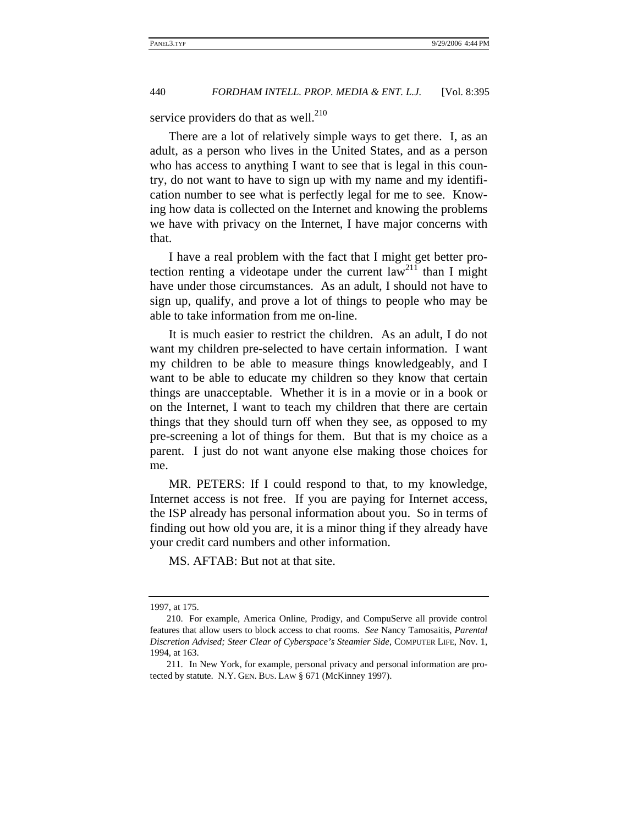service providers do that as well. $^{210}$ 

There are a lot of relatively simple ways to get there. I, as an adult, as a person who lives in the United States, and as a person who has access to anything I want to see that is legal in this country, do not want to have to sign up with my name and my identification number to see what is perfectly legal for me to see. Knowing how data is collected on the Internet and knowing the problems we have with privacy on the Internet, I have major concerns with that.

I have a real problem with the fact that I might get better protection renting a videotape under the current law<sup>211</sup> than I might have under those circumstances. As an adult, I should not have to sign up, qualify, and prove a lot of things to people who may be able to take information from me on-line.

It is much easier to restrict the children. As an adult, I do not want my children pre-selected to have certain information. I want my children to be able to measure things knowledgeably, and I want to be able to educate my children so they know that certain things are unacceptable. Whether it is in a movie or in a book or on the Internet, I want to teach my children that there are certain things that they should turn off when they see, as opposed to my pre-screening a lot of things for them. But that is my choice as a parent. I just do not want anyone else making those choices for me.

MR. PETERS: If I could respond to that, to my knowledge, Internet access is not free. If you are paying for Internet access, the ISP already has personal information about you. So in terms of finding out how old you are, it is a minor thing if they already have your credit card numbers and other information.

MS. AFTAB: But not at that site.

<sup>1997,</sup> at 175.

<sup>210.</sup> For example, America Online, Prodigy, and CompuServe all provide control features that allow users to block access to chat rooms. *See* Nancy Tamosaitis, *Parental Discretion Advised; Steer Clear of Cyberspace's Steamier Side*, COMPUTER LIFE, Nov. 1, 1994, at 163.

<sup>211.</sup> In New York, for example, personal privacy and personal information are protected by statute. N.Y. GEN. BUS. LAW § 671 (McKinney 1997).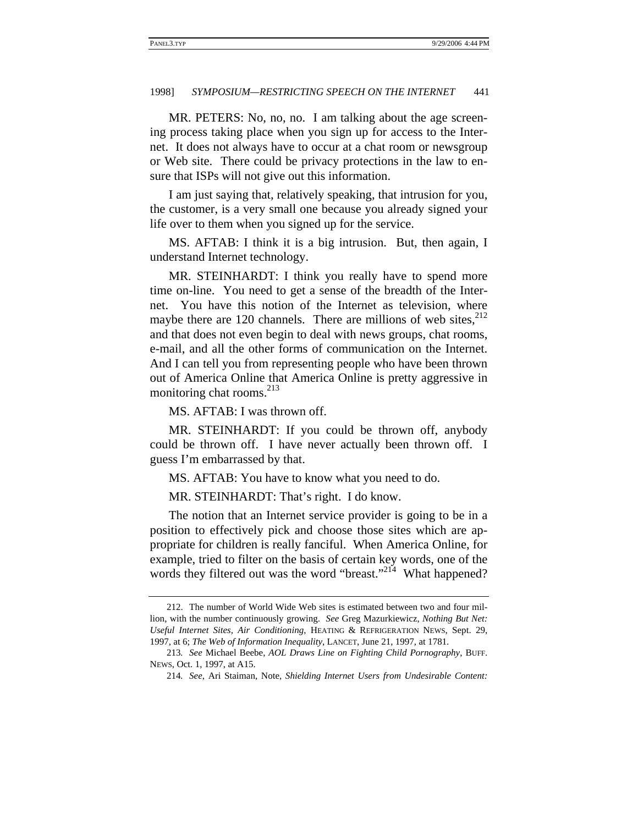MR. PETERS: No, no, no. I am talking about the age screening process taking place when you sign up for access to the Internet. It does not always have to occur at a chat room or newsgroup or Web site. There could be privacy protections in the law to ensure that ISPs will not give out this information.

I am just saying that, relatively speaking, that intrusion for you, the customer, is a very small one because you already signed your life over to them when you signed up for the service.

MS. AFTAB: I think it is a big intrusion. But, then again, I understand Internet technology.

MR. STEINHARDT: I think you really have to spend more time on-line. You need to get a sense of the breadth of the Internet. You have this notion of the Internet as television, where maybe there are 120 channels. There are millions of web sites, $2^{12}$ and that does not even begin to deal with news groups, chat rooms, e-mail, and all the other forms of communication on the Internet. And I can tell you from representing people who have been thrown out of America Online that America Online is pretty aggressive in monitoring chat rooms.<sup>213</sup>

MS. AFTAB: I was thrown off.

MR. STEINHARDT: If you could be thrown off, anybody could be thrown off. I have never actually been thrown off. I guess I'm embarrassed by that.

MS. AFTAB: You have to know what you need to do.

MR. STEINHARDT: That's right. I do know.

The notion that an Internet service provider is going to be in a position to effectively pick and choose those sites which are appropriate for children is really fanciful. When America Online, for example, tried to filter on the basis of certain key words, one of the words they filtered out was the word "breast."<sup>214</sup> What happened?

<sup>212.</sup> The number of World Wide Web sites is estimated between two and four million, with the number continuously growing. *See* Greg Mazurkiewicz, *Nothing But Net: Useful Internet Sites, Air Conditioning*, HEATING & REFRIGERATION NEWS, Sept. 29, 1997, at 6; *The Web of Information Inequality*, LANCET, June 21, 1997, at 1781.

<sup>213</sup>*. See* Michael Beebe, *AOL Draws Line on Fighting Child Pornography*, BUFF. NEWS, Oct. 1, 1997, at A15.

<sup>214</sup>*. See*, Ari Staiman, Note, *Shielding Internet Users from Undesirable Content:*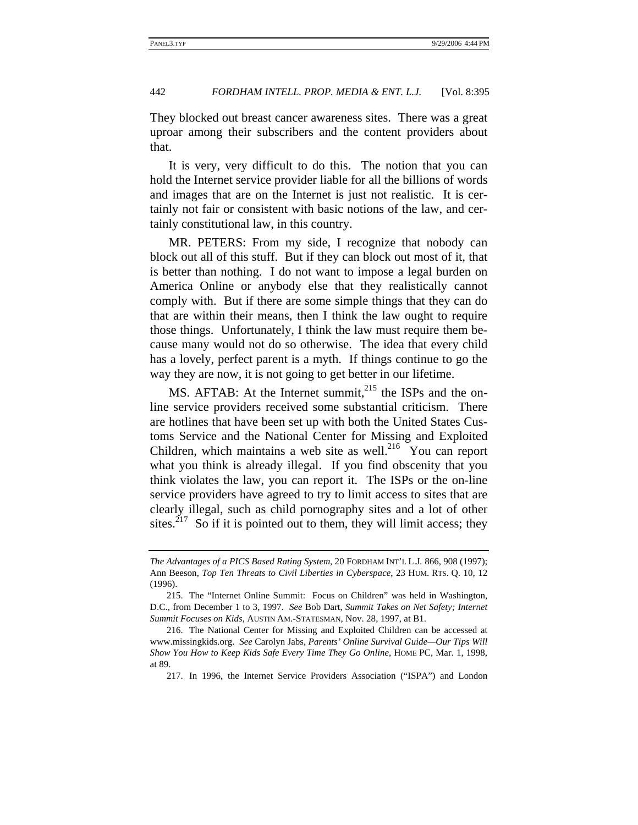They blocked out breast cancer awareness sites. There was a great uproar among their subscribers and the content providers about that.

It is very, very difficult to do this. The notion that you can hold the Internet service provider liable for all the billions of words and images that are on the Internet is just not realistic. It is certainly not fair or consistent with basic notions of the law, and certainly constitutional law, in this country.

MR. PETERS: From my side, I recognize that nobody can block out all of this stuff. But if they can block out most of it, that is better than nothing. I do not want to impose a legal burden on America Online or anybody else that they realistically cannot comply with. But if there are some simple things that they can do that are within their means, then I think the law ought to require those things. Unfortunately, I think the law must require them because many would not do so otherwise. The idea that every child has a lovely, perfect parent is a myth. If things continue to go the way they are now, it is not going to get better in our lifetime.

MS. AFTAB: At the Internet summit,<sup>215</sup> the ISPs and the online service providers received some substantial criticism. There are hotlines that have been set up with both the United States Customs Service and the National Center for Missing and Exploited Children, which maintains a web site as well.<sup>216</sup> You can report what you think is already illegal. If you find obscenity that you think violates the law, you can report it. The ISPs or the on-line service providers have agreed to try to limit access to sites that are clearly illegal, such as child pornography sites and a lot of other sites.<sup>217</sup> So if it is pointed out to them, they will limit access; they

*The Advantages of a PICS Based Rating System*, 20 FORDHAM INT'L L.J*.* 866, 908 (1997); Ann Beeson, *Top Ten Threats to Civil Liberties in Cyberspace*, 23 HUM. RTS. Q. 10, 12 (1996).

<sup>215.</sup> The "Internet Online Summit: Focus on Children" was held in Washington, D.C., from December 1 to 3, 1997. *See* Bob Dart, *Summit Takes on Net Safety; Internet Summit Focuses on Kids*, AUSTIN AM.-STATESMAN, Nov. 28, 1997, at B1.

<sup>216.</sup> The National Center for Missing and Exploited Children can be accessed at www.missingkids.org. *See* Carolyn Jabs, *Parents' Online Survival Guide—Our Tips Will Show You How to Keep Kids Safe Every Time They Go Online*, HOME PC, Mar. 1, 1998, at 89.

<sup>217.</sup> In 1996, the Internet Service Providers Association ("ISPA") and London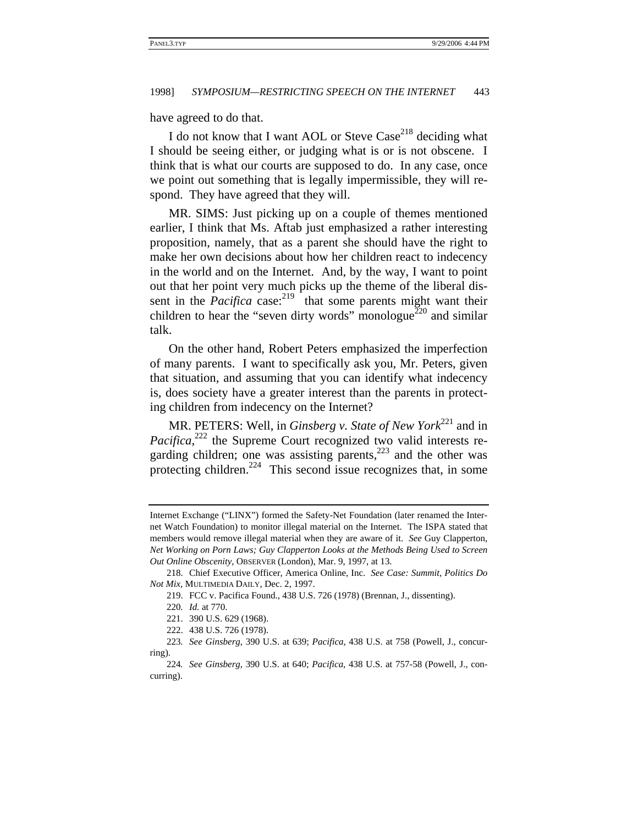have agreed to do that.

I do not know that I want AOL or Steve  $\text{Case}^{218}$  deciding what I should be seeing either, or judging what is or is not obscene. I think that is what our courts are supposed to do. In any case, once we point out something that is legally impermissible, they will respond. They have agreed that they will.

MR. SIMS: Just picking up on a couple of themes mentioned earlier, I think that Ms. Aftab just emphasized a rather interesting proposition, namely, that as a parent she should have the right to make her own decisions about how her children react to indecency in the world and on the Internet. And, by the way, I want to point out that her point very much picks up the theme of the liberal dissent in the *Pacifica* case: $2^{19}$  that some parents might want their children to hear the "seven dirty words" monologue<sup>220</sup> and similar talk.

On the other hand, Robert Peters emphasized the imperfection of many parents. I want to specifically ask you, Mr. Peters, given that situation, and assuming that you can identify what indecency is, does society have a greater interest than the parents in protecting children from indecency on the Internet?

MR. PETERS: Well, in *Ginsberg v. State of New York*<sup>221</sup> and in Pacifica,<sup>222</sup> the Supreme Court recognized two valid interests regarding children; one was assisting parents,<sup>223</sup> and the other was protecting children.<sup>224</sup> This second issue recognizes that, in some

Internet Exchange ("LINX") formed the Safety-Net Foundation (later renamed the Internet Watch Foundation) to monitor illegal material on the Internet. The ISPA stated that members would remove illegal material when they are aware of it. *See* Guy Clapperton, *Net Working on Porn Laws; Guy Clapperton Looks at the Methods Being Used to Screen Out Online Obscenity*, OBSERVER (London), Mar. 9, 1997, at 13.

<sup>218.</sup> Chief Executive Officer, America Online, Inc. *See Case: Summit, Politics Do Not Mix*, MULTIMEDIA DAILY, Dec. 2, 1997.

<sup>219.</sup> FCC v. Pacifica Found., 438 U.S. 726 (1978) (Brennan, J., dissenting).

<sup>220</sup>*. Id.* at 770.

<sup>221. 390</sup> U.S. 629 (1968).

<sup>222. 438</sup> U.S. 726 (1978).

<sup>223</sup>*. See Ginsberg*, 390 U.S. at 639; *Pacifica*, 438 U.S. at 758 (Powell, J., concurring).

<sup>224</sup>*. See Ginsberg*, 390 U.S. at 640; *Pacifica*, 438 U.S. at 757-58 (Powell, J., concurring).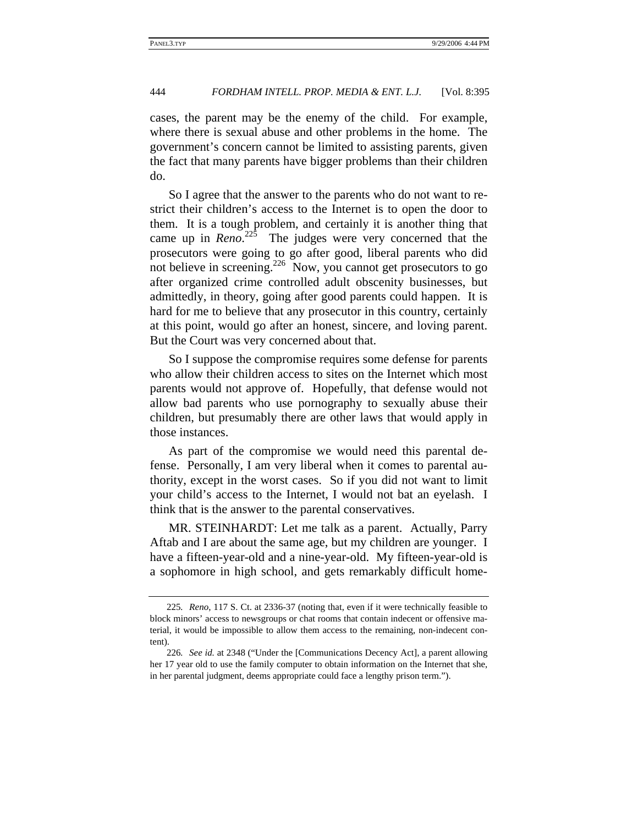cases, the parent may be the enemy of the child. For example, where there is sexual abuse and other problems in the home. The government's concern cannot be limited to assisting parents, given the fact that many parents have bigger problems than their children do.

So I agree that the answer to the parents who do not want to restrict their children's access to the Internet is to open the door to them. It is a tough problem, and certainly it is another thing that came up in  $Reno^{225}$  The judges were very concerned that the prosecutors were going to go after good, liberal parents who did not believe in screening.226 Now, you cannot get prosecutors to go after organized crime controlled adult obscenity businesses, but admittedly, in theory, going after good parents could happen. It is hard for me to believe that any prosecutor in this country, certainly at this point, would go after an honest, sincere, and loving parent. But the Court was very concerned about that.

So I suppose the compromise requires some defense for parents who allow their children access to sites on the Internet which most parents would not approve of. Hopefully, that defense would not allow bad parents who use pornography to sexually abuse their children, but presumably there are other laws that would apply in those instances.

As part of the compromise we would need this parental defense. Personally, I am very liberal when it comes to parental authority, except in the worst cases. So if you did not want to limit your child's access to the Internet, I would not bat an eyelash. I think that is the answer to the parental conservatives.

MR. STEINHARDT: Let me talk as a parent. Actually, Parry Aftab and I are about the same age, but my children are younger. I have a fifteen-year-old and a nine-year-old. My fifteen-year-old is a sophomore in high school, and gets remarkably difficult home-

<sup>225</sup>*. Reno*, 117 S. Ct. at 2336-37 (noting that, even if it were technically feasible to block minors' access to newsgroups or chat rooms that contain indecent or offensive material, it would be impossible to allow them access to the remaining, non-indecent content).

<sup>226</sup>*. See id.* at 2348 ("Under the [Communications Decency Act], a parent allowing her 17 year old to use the family computer to obtain information on the Internet that she, in her parental judgment, deems appropriate could face a lengthy prison term.").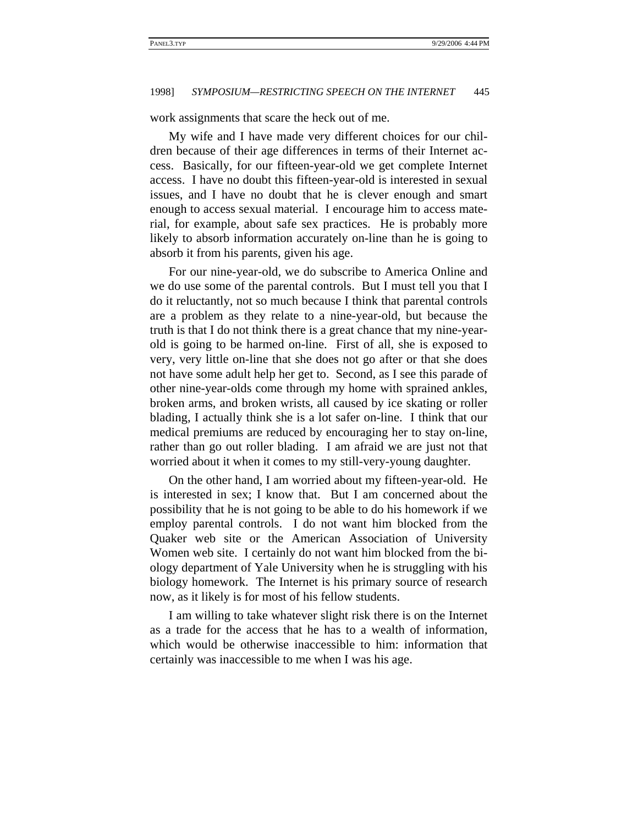work assignments that scare the heck out of me.

My wife and I have made very different choices for our children because of their age differences in terms of their Internet access. Basically, for our fifteen-year-old we get complete Internet access. I have no doubt this fifteen-year-old is interested in sexual issues, and I have no doubt that he is clever enough and smart enough to access sexual material. I encourage him to access material, for example, about safe sex practices. He is probably more likely to absorb information accurately on-line than he is going to absorb it from his parents, given his age.

For our nine-year-old, we do subscribe to America Online and we do use some of the parental controls. But I must tell you that I do it reluctantly, not so much because I think that parental controls are a problem as they relate to a nine-year-old, but because the truth is that I do not think there is a great chance that my nine-yearold is going to be harmed on-line. First of all, she is exposed to very, very little on-line that she does not go after or that she does not have some adult help her get to. Second, as I see this parade of other nine-year-olds come through my home with sprained ankles, broken arms, and broken wrists, all caused by ice skating or roller blading, I actually think she is a lot safer on-line. I think that our medical premiums are reduced by encouraging her to stay on-line, rather than go out roller blading. I am afraid we are just not that worried about it when it comes to my still-very-young daughter.

On the other hand, I am worried about my fifteen-year-old. He is interested in sex; I know that. But I am concerned about the possibility that he is not going to be able to do his homework if we employ parental controls. I do not want him blocked from the Quaker web site or the American Association of University Women web site. I certainly do not want him blocked from the biology department of Yale University when he is struggling with his biology homework. The Internet is his primary source of research now, as it likely is for most of his fellow students.

I am willing to take whatever slight risk there is on the Internet as a trade for the access that he has to a wealth of information, which would be otherwise inaccessible to him: information that certainly was inaccessible to me when I was his age.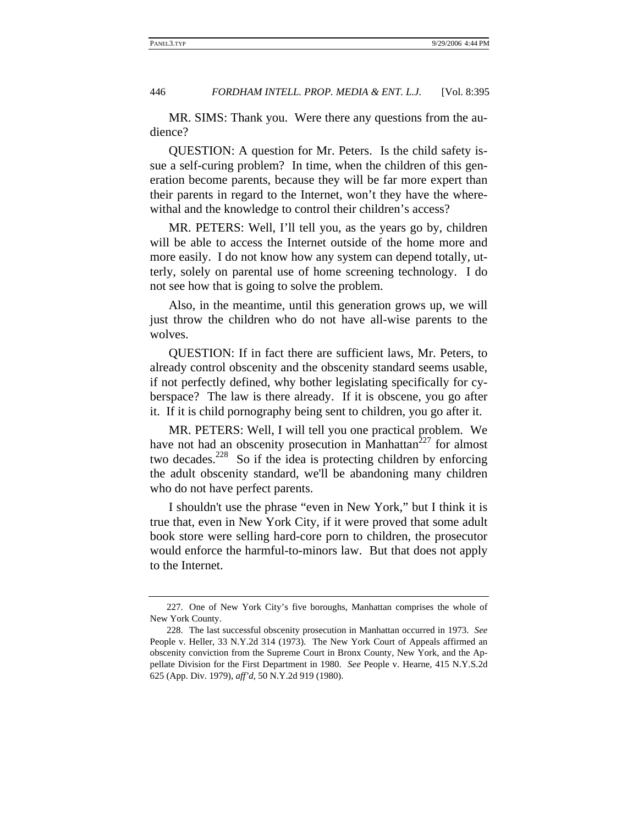MR. SIMS: Thank you. Were there any questions from the audience?

QUESTION: A question for Mr. Peters. Is the child safety issue a self-curing problem? In time, when the children of this generation become parents, because they will be far more expert than their parents in regard to the Internet, won't they have the wherewithal and the knowledge to control their children's access?

MR. PETERS: Well, I'll tell you, as the years go by, children will be able to access the Internet outside of the home more and more easily. I do not know how any system can depend totally, utterly, solely on parental use of home screening technology. I do not see how that is going to solve the problem.

Also, in the meantime, until this generation grows up, we will just throw the children who do not have all-wise parents to the wolves.

QUESTION: If in fact there are sufficient laws, Mr. Peters, to already control obscenity and the obscenity standard seems usable, if not perfectly defined, why bother legislating specifically for cyberspace? The law is there already. If it is obscene, you go after it. If it is child pornography being sent to children, you go after it.

MR. PETERS: Well, I will tell you one practical problem. We have not had an obscenity prosecution in Manhattan<sup>227</sup> for almost two decades.<sup>228</sup> So if the idea is protecting children by enforcing the adult obscenity standard, we'll be abandoning many children who do not have perfect parents.

I shouldn't use the phrase "even in New York," but I think it is true that, even in New York City, if it were proved that some adult book store were selling hard-core porn to children, the prosecutor would enforce the harmful-to-minors law. But that does not apply to the Internet.

<sup>227.</sup> One of New York City's five boroughs, Manhattan comprises the whole of New York County.

<sup>228.</sup> The last successful obscenity prosecution in Manhattan occurred in 1973. *See* People v. Heller, 33 N.Y.2d 314 (1973). The New York Court of Appeals affirmed an obscenity conviction from the Supreme Court in Bronx County, New York, and the Appellate Division for the First Department in 1980. *See* People v. Hearne, 415 N.Y.S.2d 625 (App. Div. 1979), *aff'd*, 50 N.Y.2d 919 (1980).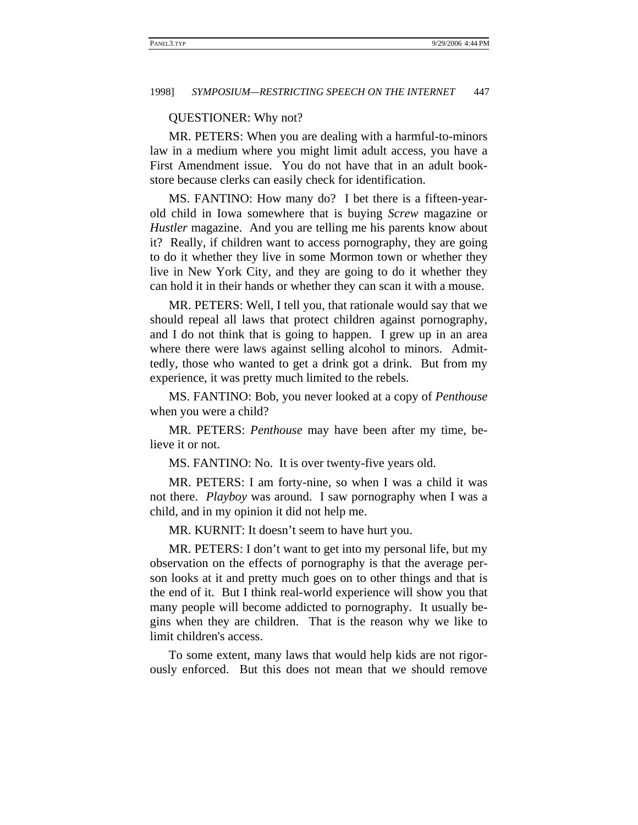#### QUESTIONER: Why not?

MR. PETERS: When you are dealing with a harmful-to-minors law in a medium where you might limit adult access, you have a First Amendment issue. You do not have that in an adult bookstore because clerks can easily check for identification.

MS. FANTINO: How many do? I bet there is a fifteen-yearold child in Iowa somewhere that is buying *Screw* magazine or *Hustler* magazine. And you are telling me his parents know about it? Really, if children want to access pornography, they are going to do it whether they live in some Mormon town or whether they live in New York City, and they are going to do it whether they can hold it in their hands or whether they can scan it with a mouse.

MR. PETERS: Well, I tell you, that rationale would say that we should repeal all laws that protect children against pornography, and I do not think that is going to happen. I grew up in an area where there were laws against selling alcohol to minors. Admittedly, those who wanted to get a drink got a drink. But from my experience, it was pretty much limited to the rebels.

MS. FANTINO: Bob, you never looked at a copy of *Penthouse* when you were a child?

MR. PETERS: *Penthouse* may have been after my time, believe it or not.

MS. FANTINO: No. It is over twenty-five years old.

MR. PETERS: I am forty-nine, so when I was a child it was not there. *Playboy* was around. I saw pornography when I was a child, and in my opinion it did not help me.

MR. KURNIT: It doesn't seem to have hurt you.

MR. PETERS: I don't want to get into my personal life, but my observation on the effects of pornography is that the average person looks at it and pretty much goes on to other things and that is the end of it. But I think real-world experience will show you that many people will become addicted to pornography. It usually begins when they are children. That is the reason why we like to limit children's access.

To some extent, many laws that would help kids are not rigorously enforced. But this does not mean that we should remove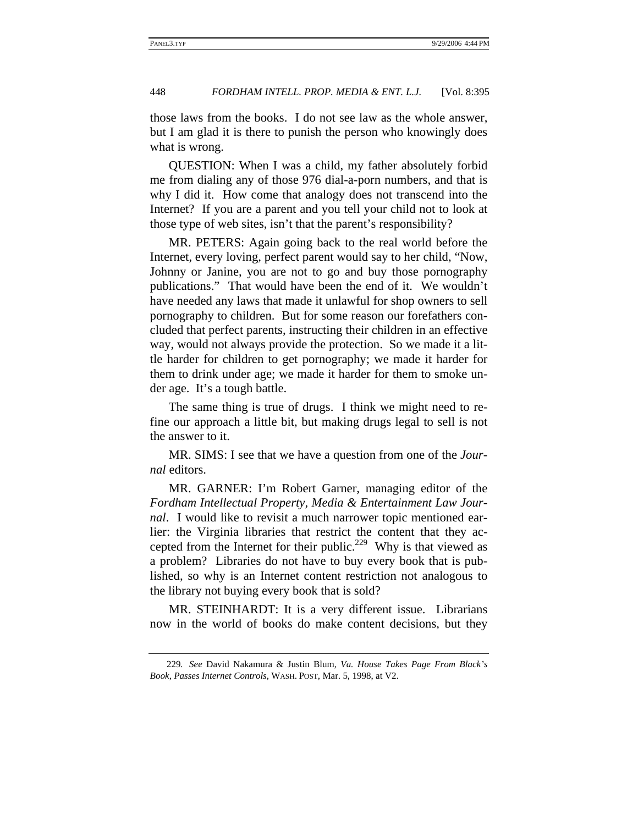those laws from the books. I do not see law as the whole answer, but I am glad it is there to punish the person who knowingly does what is wrong.

QUESTION: When I was a child, my father absolutely forbid me from dialing any of those 976 dial-a-porn numbers, and that is why I did it. How come that analogy does not transcend into the Internet? If you are a parent and you tell your child not to look at those type of web sites, isn't that the parent's responsibility?

MR. PETERS: Again going back to the real world before the Internet, every loving, perfect parent would say to her child, "Now, Johnny or Janine, you are not to go and buy those pornography publications." That would have been the end of it. We wouldn't have needed any laws that made it unlawful for shop owners to sell pornography to children. But for some reason our forefathers concluded that perfect parents, instructing their children in an effective way, would not always provide the protection. So we made it a little harder for children to get pornography; we made it harder for them to drink under age; we made it harder for them to smoke under age. It's a tough battle.

The same thing is true of drugs. I think we might need to refine our approach a little bit, but making drugs legal to sell is not the answer to it.

MR. SIMS: I see that we have a question from one of the *Journal* editors.

MR. GARNER: I'm Robert Garner, managing editor of the *Fordham Intellectual Property, Media & Entertainment Law Journal*. I would like to revisit a much narrower topic mentioned earlier: the Virginia libraries that restrict the content that they accepted from the Internet for their public.<sup>229</sup> Why is that viewed as a problem? Libraries do not have to buy every book that is published, so why is an Internet content restriction not analogous to the library not buying every book that is sold?

MR. STEINHARDT: It is a very different issue. Librarians now in the world of books do make content decisions, but they

<sup>229</sup>*. See* David Nakamura & Justin Blum, *Va. House Takes Page From Black's Book, Passes Internet Controls*, WASH. POST, Mar. 5, 1998, at V2.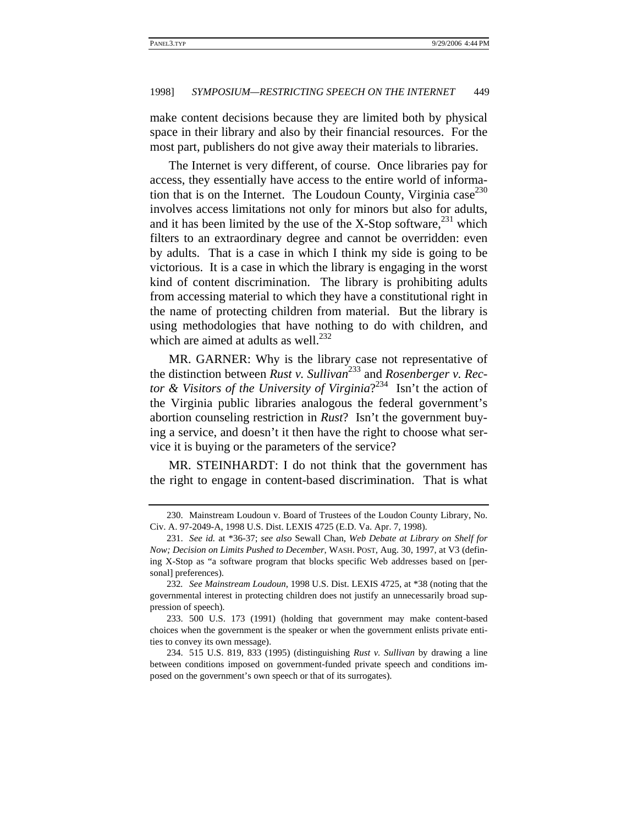make content decisions because they are limited both by physical space in their library and also by their financial resources. For the most part, publishers do not give away their materials to libraries.

The Internet is very different, of course. Once libraries pay for access, they essentially have access to the entire world of information that is on the Internet. The Loudoun County, Virginia  $case^{230}$ involves access limitations not only for minors but also for adults, and it has been limited by the use of the X-Stop software,  $^{231}$  which filters to an extraordinary degree and cannot be overridden: even by adults. That is a case in which I think my side is going to be victorious. It is a case in which the library is engaging in the worst kind of content discrimination. The library is prohibiting adults from accessing material to which they have a constitutional right in the name of protecting children from material. But the library is using methodologies that have nothing to do with children, and which are aimed at adults as well. $^{232}$ 

MR. GARNER: Why is the library case not representative of the distinction between *Rust v. Sullivan*233 and *Rosenberger v. Rector & Visitors of the University of Virginia*? 234 Isn't the action of the Virginia public libraries analogous the federal government's abortion counseling restriction in *Rust*? Isn't the government buying a service, and doesn't it then have the right to choose what service it is buying or the parameters of the service?

MR. STEINHARDT: I do not think that the government has the right to engage in content-based discrimination. That is what

<sup>230.</sup> Mainstream Loudoun v. Board of Trustees of the Loudon County Library, No. Civ. A. 97-2049-A, 1998 U.S. Dist. LEXIS 4725 (E.D. Va. Apr. 7, 1998).

<sup>231.</sup> *See id.* at \*36-37; *see also* Sewall Chan, *Web Debate at Library on Shelf for Now; Decision on Limits Pushed to December*, WASH. POST, Aug. 30, 1997, at V3 (defining X-Stop as "a software program that blocks specific Web addresses based on [personal] preferences).

<sup>232</sup>*. See Mainstream Loudoun*, 1998 U.S. Dist. LEXIS 4725, at \*38 (noting that the governmental interest in protecting children does not justify an unnecessarily broad suppression of speech).

<sup>233. 500</sup> U.S. 173 (1991) (holding that government may make content-based choices when the government is the speaker or when the government enlists private entities to convey its own message).

<sup>234. 515</sup> U.S. 819, 833 (1995) (distinguishing *Rust v. Sullivan* by drawing a line between conditions imposed on government-funded private speech and conditions imposed on the government's own speech or that of its surrogates).